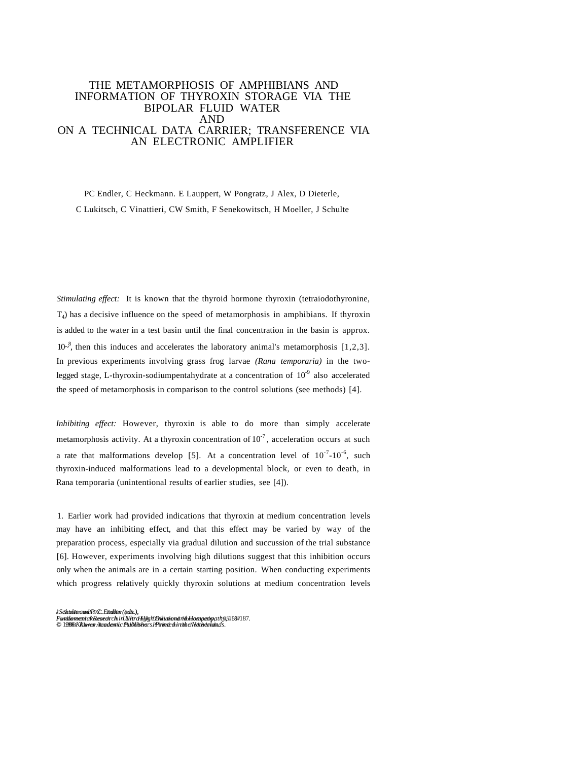# THE METAMORPHOSIS OF AMPHIBIANS AND INFORMATION OF THYROXIN STORAGE VIA THE BIPOLAR FLUID WATER AND ON A TECHNICAL DATA CARRIER; TRANSFERENCE VIA AN ELECTRONIC AMPLIFIER

PC Endler, C Heckmann. E Lauppert, W Pongratz, J Alex, D Dieterle, C Lukitsch, C Vinattieri, CW Smith, F Senekowitsch, H Moeller, J Schulte

*Stimulating effect:* It is known that the thyroid hormone thyroxin (tetraiodothyronine,  $T<sub>4</sub>$ ) has a decisive influence on the speed of metamorphosis in amphibians. If thyroxin is added to the water in a test basin until the final concentration in the basin is approx.  $10^{-8}$ , then this induces and accelerates the laboratory animal's metamorphosis [1,2,3]. In previous experiments involving grass frog larvae *(Rana temporaria)* in the twolegged stage, L-thyroxin-sodiumpentahydrate at a concentration of  $10^{-9}$  also accelerated the speed of metamorphosis in comparison to the control solutions (see methods) [4].

*Inhibiting effect:* However, thyroxin is able to do more than simply accelerate metamorphosis activity. At a thyroxin concentration of  $10^{-7}$ , acceleration occurs at such a rate that malformations develop [5]. At a concentration level of  $10^{-7}$ - $10^{-6}$ , such thyroxin-induced malformations lead to a developmental block, or even to death, in Rana temporaria (unintentional results of earlier studies, see [4]).

1. Earlier work had provided indications that thyroxin at medium concentration levels may have an inhibiting effect, and that this effect may be varied by way of the preparation process, especially via gradual dilution and succussion of the trial substance [6]. However, experiments involving high dilutions suggest that this inhibition occurs only when the animals are in a certain starting position. When conducting experiments which progress relatively quickly thyroxin solutions at medium concentration levels

/ *Schulte and P.C. Endler (eds.), J. Schulte and P.C. Endler (eds.),* FantilanmentakRæsecirch i ri UlitraHijig hTinititiondri ilbhlompethpath5,51587187.<br>© 19998 Kkitwen Academic Publikshers Phrinti diri tile eNetholalidads.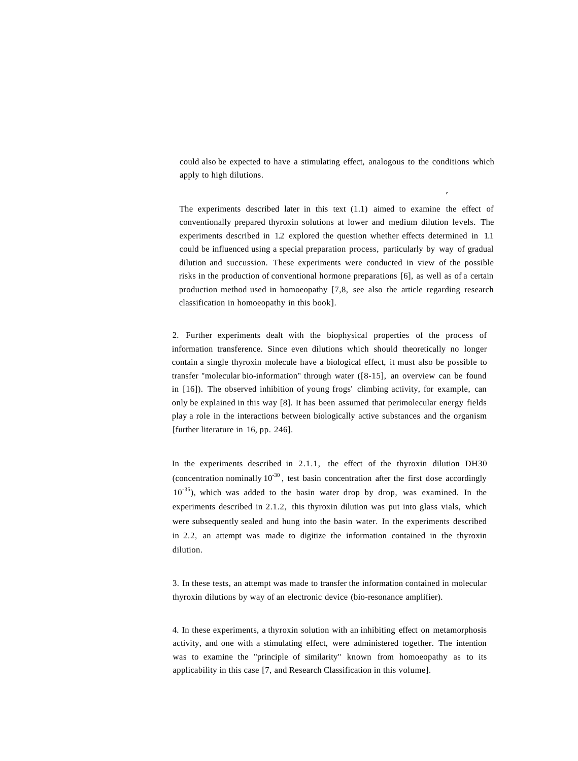could also be expected to have a stimulating effect, analogous to the conditions which apply to high dilutions.

**r**

The experiments described later in this text (1.1) aimed to examine the effect of conventionally prepared thyroxin solutions at lower and medium dilution levels. The experiments described in 1.2 explored the question whether effects determined in 1.1 could be influenced using a special preparation process, particularly by way of gradual dilution and succussion. These experiments were conducted in view of the possible risks in the production of conventional hormone preparations [6], as well as of a certain production method used in homoeopathy [7,8, see also the article regarding research classification in homoeopathy in this book].

2. Further experiments dealt with the biophysical properties of the process of information transference. Since even dilutions which should theoretically no longer contain a single thyroxin molecule have a biological effect, it must also be possible to transfer "molecular bio-information" through water ([8-15], an overview can be found in [16]). The observed inhibition of young frogs' climbing activity, for example, can only be explained in this way [8]. It has been assumed that perimolecular energy fields play a role in the interactions between biologically active substances and the organism [further literature in 16, pp. 246].

In the experiments described in 2.1.1, the effect of the thyroxin dilution DH30 (concentration nominally  $10^{-30}$ , test basin concentration after the first dose accordingly  $10^{-35}$ ), which was added to the basin water drop by drop, was examined. In the experiments described in 2.1.2, this thyroxin dilution was put into glass vials, which were subsequently sealed and hung into the basin water. In the experiments described in 2.2, an attempt was made to digitize the information contained in the thyroxin dilution.

3. In these tests, an attempt was made to transfer the information contained in molecular thyroxin dilutions by way of an electronic device (bio-resonance amplifier).

4. In these experiments, a thyroxin solution with an inhibiting effect on metamorphosis activity, and one with a stimulating effect, were administered together. The intention was to examine the "principle of similarity" known from homoeopathy as to its applicability in this case [7, and Research Classification in this volume].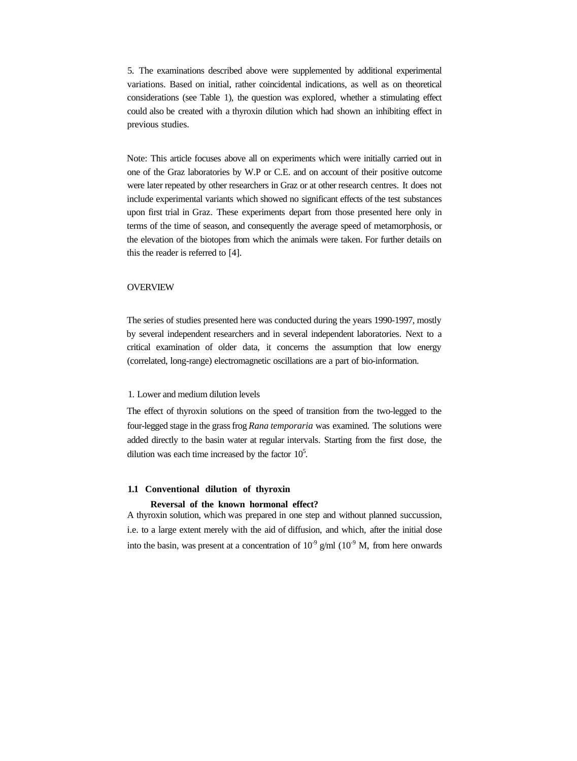5. The examinations described above were supplemented by additional experimental variations. Based on initial, rather coincidental indications, as well as on theoretical considerations (see Table 1), the question was explored, whether a stimulating effect could also be created with a thyroxin dilution which had shown an inhibiting effect in previous studies.

Note: This article focuses above all on experiments which were initially carried out in one of the Graz laboratories by W.P or C.E. and on account of their positive outcome were later repeated by other researchers in Graz or at other research centres. It does not include experimental variants which showed no significant effects of the test substances upon first trial in Graz. These experiments depart from those presented here only in terms of the time of season, and consequently the average speed of metamorphosis, or the elevation of the biotopes from which the animals were taken. For further details on this the reader is referred to [4].

## **OVERVIEW**

The series of studies presented here was conducted during the years 1990-1997, mostly by several independent researchers and in several independent laboratories. Next to a critical examination of older data, it concerns the assumption that low energy (correlated, long-range) electromagnetic oscillations are a part of bio-information.

# 1. Lower and medium dilution levels

The effect of thyroxin solutions on the speed of transition from the two-legged to the four-legged stage in the grass frog *Rana temporaria* was examined. The solutions were added directly to the basin water at regular intervals. Starting from the first dose, the dilution was each time increased by the factor  $10<sup>5</sup>$ .

## **1.1 Conventional dilution of thyroxin**

#### **Reversal of the known hormonal effect?**

A thyroxin solution, which was prepared in one step and without planned succussion, i.e. to a large extent merely with the aid of diffusion, and which, after the initial dose into the basin, was present at a concentration of  $10^{-9}$  g/ml  $(10^{-9}$  M, from here onwards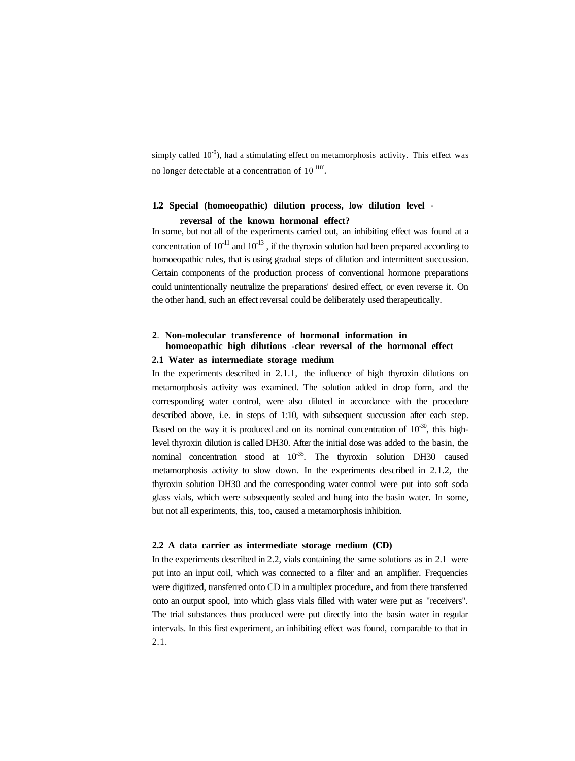simply called  $10^{-9}$ ), had a stimulating effect on metamorphosis activity. This effect was no longer detectable at a concentration of  $10^{-11}$ .

# **1.2 Special (homoeopathic) dilution process, low dilution level reversal of the known hormonal effect?**

In some, but not all of the experiments carried out, an inhibiting effect was found at a concentration of  $10^{-11}$  and  $10^{-13}$ , if the thyroxin solution had been prepared according to homoeopathic rules, that is using gradual steps of dilution and intermittent succussion. Certain components of the production process of conventional hormone preparations could unintentionally neutralize the preparations' desired effect, or even reverse it. On the other hand, such an effect reversal could be deliberately used therapeutically.

# **2**. **Non-molecular transference of hormonal information in homoeopathic high dilutions -clear reversal of the hormonal effect 2.1 Water as intermediate storage medium**

In the experiments described in 2.1.1, the influence of high thyroxin dilutions on metamorphosis activity was examined. The solution added in drop form, and the corresponding water control, were also diluted in accordance with the procedure described above, i.e. in steps of 1:10, with subsequent succussion after each step. Based on the way it is produced and on its nominal concentration of  $10^{-30}$ , this highlevel thyroxin dilution is called DH30. After the initial dose was added to the basin, the nominal concentration stood at  $10^{-35}$ . The thyroxin solution DH30 caused metamorphosis activity to slow down. In the experiments described in 2.1.2, the thyroxin solution DH30 and the corresponding water control were put into soft soda glass vials, which were subsequently sealed and hung into the basin water. In some, but not all experiments, this, too, caused a metamorphosis inhibition.

#### **2.2 A data carrier as intermediate storage medium (CD)**

In the experiments described in 2.2, vials containing the same solutions as in 2.1 were put into an input coil, which was connected to a filter and an amplifier. Frequencies were digitized, transferred onto CD in a multiplex procedure, and from there transferred onto an output spool, into which glass vials filled with water were put as "receivers". The trial substances thus produced were put directly into the basin water in regular intervals. In this first experiment, an inhibiting effect was found, comparable to that in 2.1.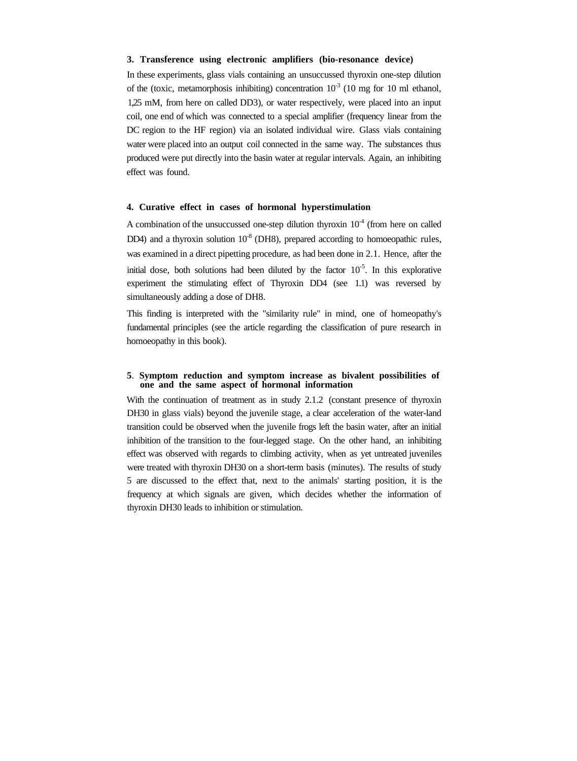#### **3. Transference using electronic amplifiers (bio-resonance device)**

In these experiments, glass vials containing an unsuccussed thyroxin one-step dilution of the (toxic, metamorphosis inhibiting) concentration  $10^{-3}$  (10 mg for 10 ml ethanol, 1,25 mM, from here on called DD3), or water respectively, were placed into an input coil, one end of which was connected to a special amplifier (frequency linear from the DC region to the HF region) via an isolated individual wire. Glass vials containing water were placed into an output coil connected in the same way. The substances thus produced were put directly into the basin water at regular intervals. Again, an inhibiting effect was found.

### **4. Curative effect in cases of hormonal hyperstimulation**

A combination of the unsuccussed one-step dilution thyroxin  $10<sup>-4</sup>$  (from here on called DD4) and a thyroxin solution  $10<sup>8</sup>$  (DH8), prepared according to homoeopathic rules, was examined in a direct pipetting procedure, as had been done in 2.1. Hence, after the initial dose, both solutions had been diluted by the factor  $10^{-5}$ . In this explorative experiment the stimulating effect of Thyroxin DD4 (see 1.1) was reversed by simultaneously adding a dose of DH8.

This finding is interpreted with the "similarity rule" in mind, one of homeopathy's fundamental principles (see the article regarding the classification of pure research in homoeopathy in this book).

### **5**. **Symptom reduction and symptom increase as bivalent possibilities of one and the same aspect of hormonal information**

With the continuation of treatment as in study 2.1.2 (constant presence of thyroxin DH30 in glass vials) beyond the juvenile stage, a clear acceleration of the water-land transition could be observed when the juvenile frogs left the basin water, after an initial inhibition of the transition to the four-legged stage. On the other hand, an inhibiting effect was observed with regards to climbing activity, when as yet untreated juveniles were treated with thyroxin DH30 on a short-term basis (minutes). The results of study 5 are discussed to the effect that, next to the animals' starting position, it is the frequency at which signals are given, which decides whether the information of thyroxin DH30 leads to inhibition or stimulation.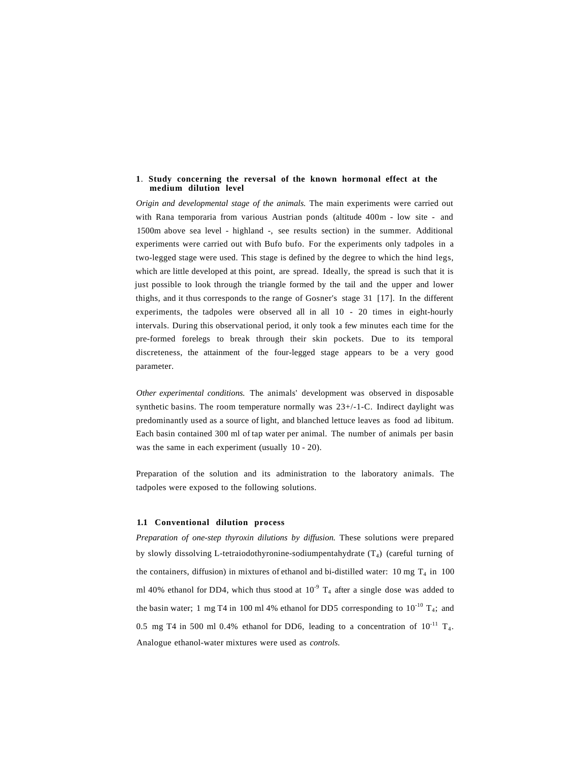#### **1**. **Study concerning the reversal of the known hormonal effect at the medium dilution level**

*Origin and developmental stage of the animals.* The main experiments were carried out with Rana temporaria from various Austrian ponds (altitude 400m - low site - and 1500m above sea level - highland -, see results section) in the summer. Additional experiments were carried out with Bufo bufo. For the experiments only tadpoles in a two-legged stage were used. This stage is defined by the degree to which the hind legs, which are little developed at this point, are spread. Ideally, the spread is such that it is just possible to look through the triangle formed by the tail and the upper and lower thighs, and it thus corresponds to the range of Gosner's stage 31 [17]. In the different experiments, the tadpoles were observed all in all 10 - 20 times in eight-hourly intervals. During this observational period, it only took a few minutes each time for the pre-formed forelegs to break through their skin pockets. Due to its temporal discreteness, the attainment of the four-legged stage appears to be a very good parameter.

*Other experimental conditions.* The animals' development was observed in disposable synthetic basins. The room temperature normally was 23+/-1-C. Indirect daylight was predominantly used as a source of light, and blanched lettuce leaves as food ad libitum. Each basin contained 300 ml of tap water per animal. The number of animals per basin was the same in each experiment (usually 10 - 20).

Preparation of the solution and its administration to the laboratory animals. The tadpoles were exposed to the following solutions.

#### **1.1 Conventional dilution process**

*Preparation of one-step thyroxin dilutions by diffusion.* These solutions were prepared by slowly dissolving L-tetraiodothyronine-sodiumpentahydrate  $(T_4)$  (careful turning of the containers, diffusion) in mixtures of ethanol and bi-distilled water: 10 mg  $T_4$  in 100 ml 40% ethanol for DD4, which thus stood at  $10^{-9}$  T<sub>4</sub> after a single dose was added to the basin water; 1 mg T4 in 100 ml 4% ethanol for DD5 corresponding to  $10^{-10}$  T<sub>4</sub>; and 0.5 mg T4 in 500 ml 0.4% ethanol for DD6, leading to a concentration of  $10^{-11}$  T<sub>4</sub>. Analogue ethanol-water mixtures were used as *controls.*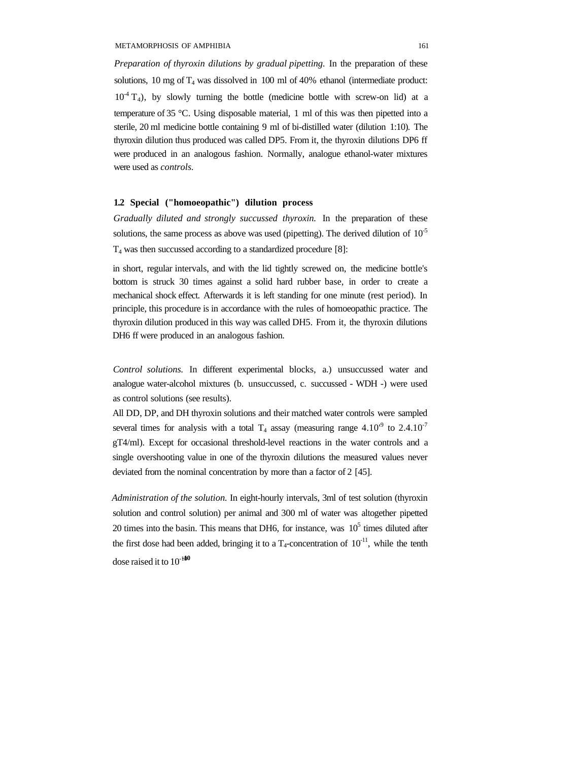*Preparation of thyroxin dilutions by gradual pipetting.* In the preparation of these solutions,  $10 \text{ mg of } T_4$  was dissolved in  $100 \text{ ml of } 40\%$  ethanol (intermediate product:  $10<sup>4</sup>$  T<sub>4</sub>), by slowly turning the bottle (medicine bottle with screw-on lid) at a temperature of 35 °C. Using disposable material, 1 ml of this was then pipetted into a sterile, 20 ml medicine bottle containing 9 ml of bi-distilled water (dilution 1:10). The thyroxin dilution thus produced was called DP5. From it, the thyroxin dilutions DP6 ff were produced in an analogous fashion. Normally, analogue ethanol-water mixtures were used as *controls.*

### **1.2 Special ("homoeopathic") dilution process**

*Gradually diluted and strongly succussed thyroxin.* In the preparation of these solutions, the same process as above was used (pipetting). The derived dilution of  $10^{-5}$ T4 was then succussed according to a standardized procedure [8]:

in short, regular intervals, and with the lid tightly screwed on, the medicine bottle's bottom is struck 30 times against a solid hard rubber base, in order to create a mechanical shock effect. Afterwards it is left standing for one minute (rest period). In principle, this procedure is in accordance with the rules of homoeopathic practice. The thyroxin dilution produced in this way was called DH5. From it, the thyroxin dilutions DH6 ff were produced in an analogous fashion.

*Control solutions.* In different experimental blocks, a.) unsuccussed water and analogue water-alcohol mixtures (b. unsuccussed, c. succussed - WDH -) were used as control solutions (see results).

All DD, DP, and DH thyroxin solutions and their matched water controls were sampled several times for analysis with a total  $T_4$  assay (measuring range 4.10<sup>o</sup> to 2.4.10<sup>o</sup> gT4/ml). Except for occasional threshold-level reactions in the water controls and a single overshooting value in one of the thyroxin dilutions the measured values never deviated from the nominal concentration by more than a factor of 2 [45].

*Administration of the solution.* In eight-hourly intervals, 3ml of test solution (thyroxin solution and control solution) per animal and 300 ml of water was altogether pipetted 20 times into the basin. This means that DH6, for instance, was  $10<sup>5</sup>$  times diluted after the first dose had been added, bringing it to a  $T_4$ -concentration of  $10^{-11}$ , while the tenth dose raised it to  $10^{-100}$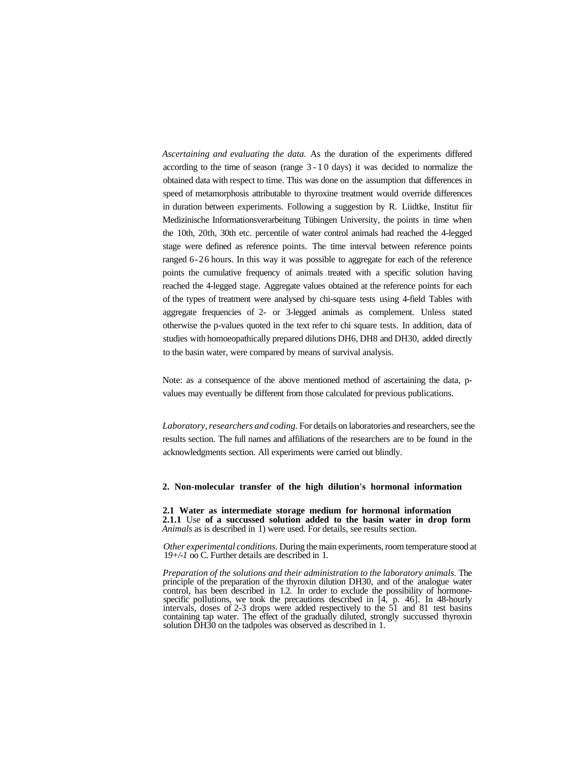*Ascertaining and evaluating the data.* As the duration of the experiments differed according to the time of season (range 3-1 0 days) it was decided to normalize the obtained data with respect to time. This was done on the assumption that differences in speed of metamorphosis attributable to thyroxine treatment would override differences in duration between experiments. Following a suggestion by R. Liidtke, Institut fiir Medizinische Informationsverarbeitung Tübingen University, the points in time when the 10th, 20th, 30th etc. percentile of water control animals had reached the 4-legged stage were defined as reference points. The time interval between reference points ranged 6-26 hours. In this way it was possible to aggregate for each of the reference points the cumulative frequency of animals treated with a specific solution having reached the 4-legged stage. Aggregate values obtained at the reference points for each of the types of treatment were analysed by chi-square tests using 4-field Tables with aggregate frequencies of 2- or 3-legged animals as complement. Unless stated otherwise the p-values quoted in the text refer to chi square tests. In addition, data of studies with homoeopathically prepared dilutions DH6, DH8 and DH30, added directly to the basin water, were compared by means of survival analysis.

Note: as a consequence of the above mentioned method of ascertaining the data, pvalues may eventually be different from those calculated for previous publications.

*Laboratory, researchers and coding.* For details on laboratories and researchers, see the results section. The full names and affiliations of the researchers are to be found in the acknowledgments section. All experiments were carried out blindly.

### **2. Non-molecular transfer of the high dilution's hormonal information**

**2.1 Water as intermediate storage medium for hormonal information 2.1.1** Use **of a succussed solution added to the basin water in drop form** *Animals* as is described in 1) were used. For details, see results section.

*Other experimental conditions.* During the main experiments, room temperature stood at 1*9+/-1* oo C. Further details are described in 1.

*Preparation of the solutions and their administration to the laboratory animals.* The principle of the preparation of the thyroxin dilution DH30, and of the analogue water control, has been described in 1.2. In order to exclude the possibility of hormonespecific pollutions, we took the precautions described in [4, p. 46]. In 48-hourly intervals, doses of 2-3 drops were added respectively to the 51 and 81 test basins containing tap water. The effect of the gradually diluted, strongly succussed thyroxin solution DH30 on the tadpoles was observed as described in 1.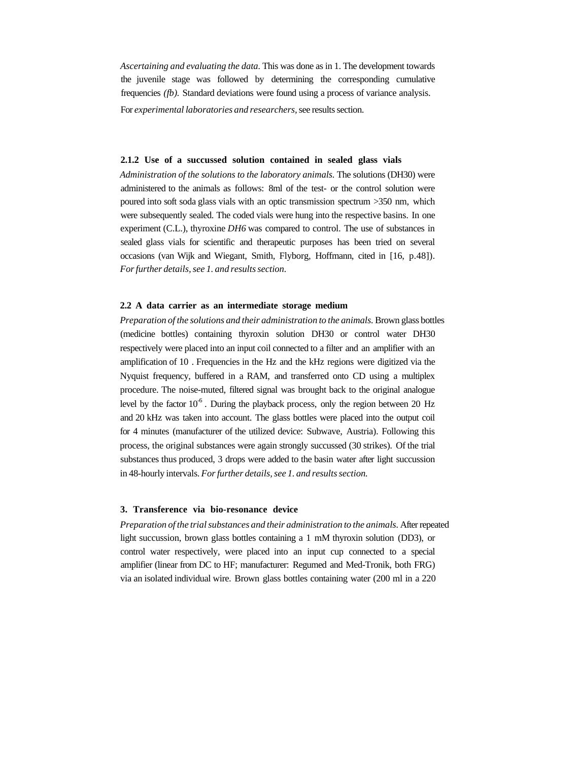*Ascertaining and evaluating the data.* This was done as in 1. The development towards the juvenile stage was followed by determining the corresponding cumulative frequencies *(fb).* Standard deviations were found using a process of variance analysis. For *experimental laboratories and researchers,* see results section.

#### **2.1.2 Use of a succussed solution contained in sealed glass vials**

*Administration of the solutions to the laboratory animals.* The solutions (DH30) were administered to the animals as follows: 8ml of the test- or the control solution were poured into soft soda glass vials with an optic transmission spectrum >350 nm, which were subsequently sealed. The coded vials were hung into the respective basins. In one experiment (C.L.), thyroxine *DH6* was compared to control. The use of substances in sealed glass vials for scientific and therapeutic purposes has been tried on several occasions (van Wijk and Wiegant, Smith, Flyborg, Hoffmann, cited in [16, p.48]). *For further details, see 1. and results section.*

#### **2.2 A data carrier as an intermediate storage medium**

*Preparation of the solutions and their administration to the animals.* Brown glass bottles (medicine bottles) containing thyroxin solution DH30 or control water DH30 respectively were placed into an input coil connected to a filter and an amplifier with an amplification of 10 . Frequencies in the Hz and the kHz regions were digitized via the Nyquist frequency, buffered in a RAM, and transferred onto CD using a multiplex procedure. The noise-muted, filtered signal was brought back to the original analogue level by the factor  $10^{-6}$ . During the playback process, only the region between 20 Hz and 20 kHz was taken into account. The glass bottles were placed into the output coil for 4 minutes (manufacturer of the utilized device: Subwave, Austria). Following this process, the original substances were again strongly succussed (30 strikes). Of the trial substances thus produced, 3 drops were added to the basin water after light succussion in 48-hourly intervals. *For further details, see 1. and results section.*

### **3. Transference via bio-resonance device**

*Preparation of the trial substances and their administration to the animals.* After repeated light succussion, brown glass bottles containing a 1 mM thyroxin solution (DD3), or control water respectively, were placed into an input cup connected to a special amplifier (linear from DC to HF; manufacturer: Regumed and Med-Tronik, both FRG) via an isolated individual wire. Brown glass bottles containing water (200 ml in a 220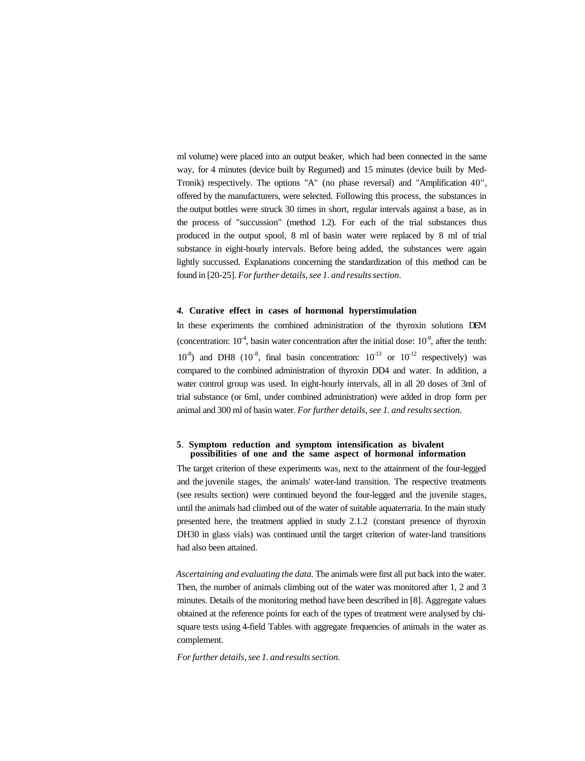ml volume) were placed into an output beaker, which had been connected in the same way, for 4 minutes (device built by Regumed) and 15 minutes (device built by Med-Tronik) respectively. The options "A" (no phase reversal) and "Amplification 40", offered by the manufacturers, were selected. Following this process, the substances in the output bottles were struck 30 times in short, regular intervals against a base, as in the process of "succussion" (method 1.2). For each of the trial substances thus produced in the output spool, 8 ml of basin water were replaced by 8 ml of trial substance in eight-hourly intervals. Before being added, the substances were again lightly succussed. Explanations concerning the standardization of this method can be found in [20-25]. *For further details, see 1. and results section.*

#### *4.* **Curative effect in cases of hormonal hyperstimulation**

In these experiments the combined administration of the thyroxin solutions DEM (concentration:  $10^4$ , basin water concentration after the initial dose:  $10^9$ , after the tenth:  $10^{-8}$ ) and DH8 ( $10^{-8}$ , final basin concentration:  $10^{-13}$  or  $10^{-12}$  respectively) was compared to the combined administration of thyroxin DD4 and water. In addition, a water control group was used. In eight-hourly intervals, all in all 20 doses of 3ml of trial substance (or 6ml, under combined administration) were added in drop form per animal and 300 ml of basin water. *For further details, see 1. and results section.*

### **5**. **Symptom reduction and symptom intensification as bivalent possibilities of one and the same aspect of hormonal information**

The target criterion of these experiments was, next to the attainment of the four-legged and the juvenile stages, the animals' water-land transition. The respective treatments (see results section) were continued beyond the four-legged and the juvenile stages, until the animals had climbed out of the water of suitable aquaterraria. In the main study presented here, the treatment applied in study 2.1.2 (constant presence of thyroxin DH30 in glass vials) was continued until the target criterion of water-land transitions had also been attained.

*Ascertaining and evaluating the data.* The animals were first all put back into the water. Then, the number of animals climbing out of the water was monitored after 1, 2 and 3 minutes. Details of the monitoring method have been described in [8]. Aggregate values obtained at the reference points for each of the types of treatment were analysed by chisquare tests using 4-field Tables with aggregate frequencies of animals in the water as complement.

*For further details, see 1. and results section.*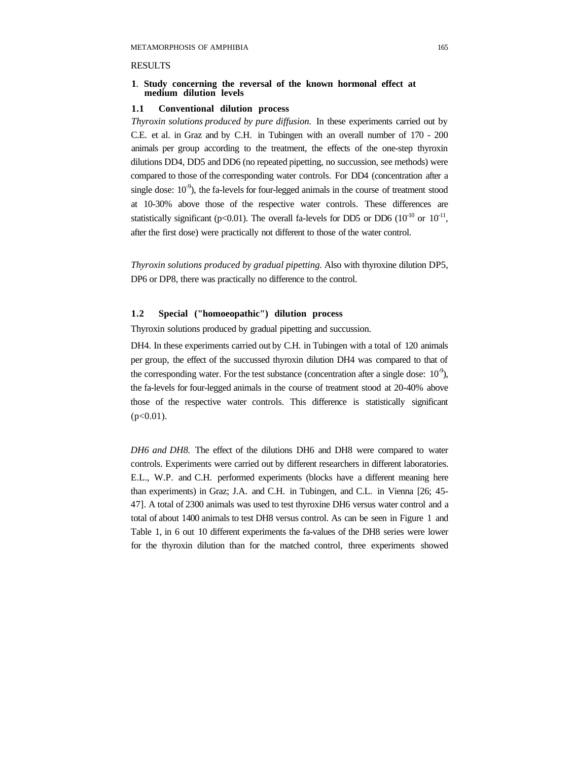### **RESULTS**

## **1**. **Study concerning the reversal of the known hormonal effect at medium dilution levels**

# **1.1 Conventional dilution process**

*Thyroxin solutions produced by pure diffusion.* In these experiments carried out by C.E. et al. in Graz and by C.H. in Tubingen with an overall number of 170 - 200 animals per group according to the treatment, the effects of the one-step thyroxin dilutions DD4, DD5 and DD6 (no repeated pipetting, no succussion, see methods) were compared to those of the corresponding water controls. For DD4 (concentration after a single dose:  $10<sup>-9</sup>$ ), the fa-levels for four-legged animals in the course of treatment stood at 10-30% above those of the respective water controls. These differences are statistically significant ( $p<0.01$ ). The overall fa-levels for DD5 or DD6 ( $10^{-10}$  or  $10^{-11}$ , after the first dose) were practically not different to those of the water control.

*Thyroxin solutions produced by gradual pipetting.* Also with thyroxine dilution DP5, DP6 or DP8, there was practically no difference to the control.

# **1.2 Special ("homoeopathic") dilution process**

Thyroxin solutions produced by gradual pipetting and succussion.

DH4. In these experiments carried out by C.H. in Tubingen with a total of 120 animals per group, the effect of the succussed thyroxin dilution DH4 was compared to that of the corresponding water. For the test substance (concentration after a single dose:  $10^{-9}$ ), the fa-levels for four-legged animals in the course of treatment stood at 20-40% above those of the respective water controls. This difference is statistically significant  $(p<0.01)$ .

*DH6 and DH8.* The effect of the dilutions DH6 and DH8 were compared to water controls. Experiments were carried out by different researchers in different laboratories. E.L., W.P. and C.H. performed experiments (blocks have a different meaning here than experiments) in Graz; J.A. and C.H. in Tubingen, and C.L. in Vienna [26; 45- 47]. A total of 2300 animals was used to test thyroxine DH6 versus water control and a total of about 1400 animals to test DH8 versus control. As can be seen in Figure 1 and Table 1, in 6 out 10 different experiments the fa-values of the DH8 series were lower for the thyroxin dilution than for the matched control, three experiments showed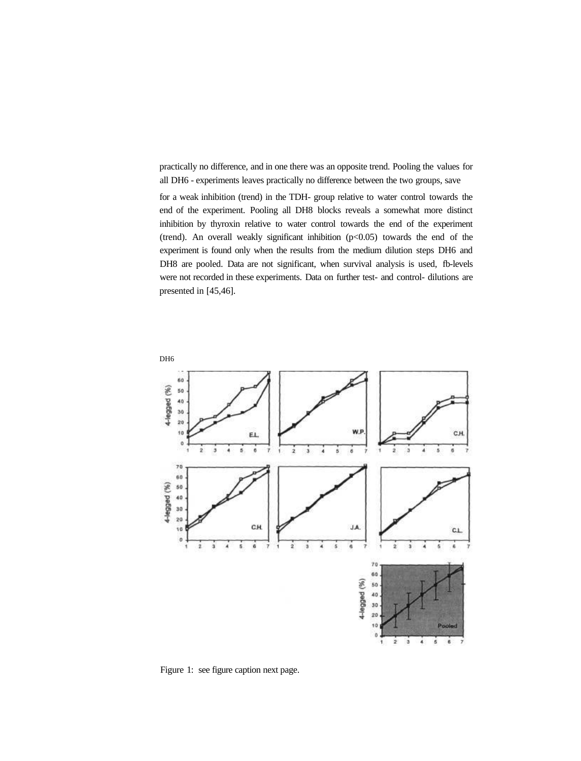practically no difference, and in one there was an opposite trend. Pooling the values for all DH6 - experiments leaves practically no difference between the two groups, save

for a weak inhibition (trend) in the TDH- group relative to water control towards the end of the experiment. Pooling all DH8 blocks reveals a somewhat more distinct inhibition by thyroxin relative to water control towards the end of the experiment (trend). An overall weakly significant inhibition (p<0.05) towards the end of the experiment is found only when the results from the medium dilution steps DH6 and DH8 are pooled. Data are not significant, when survival analysis is used, fb-levels were not recorded in these experiments. Data on further test- and control- dilutions are presented in [45,46].



Figure 1: see figure caption next page.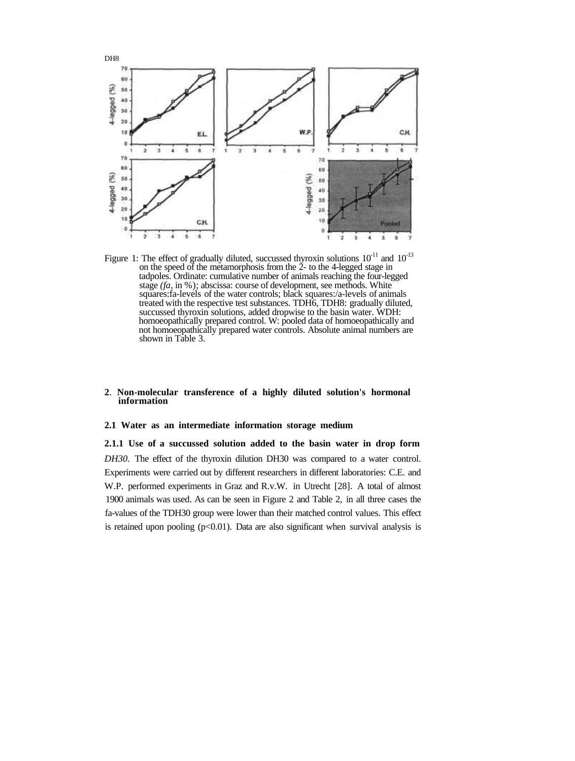

Figure 1: The effect of gradually diluted, succussed thyroxin solutions  $10^{-11}$  and  $10^{-13}$ on the speed of the metamorphosis from the  $\tilde{2}$ - to the 4-legged stage in tadpoles. Ordinate: cumulative number of animals reaching the four-legged stage *(fa,* in %); abscissa: course of development, see methods. White squares:fa-levels of the water controls; black squares:/a-levels of animals treated with the respective test substances. TDH6, TDH8: gradually diluted, succussed thyroxin solutions, added dropwise to the basin water. WDH: homoeopathically prepared control. W: pooled data of homoeopathically and not homoeopathically prepared water controls. Absolute animal numbers are shown in Table 3.

## **2**. **Non-molecular transference of a highly diluted solution's hormonal information**

#### **2.1 Water as an intermediate information storage medium**

**2.1.1 Use of a succussed solution added to the basin water in drop form** *DH30.* The effect of the thyroxin dilution DH30 was compared to a water control. Experiments were carried out by different researchers in different laboratories: C.E. and W.P. performed experiments in Graz and R.v.W. in Utrecht [28]. A total of almost 1900 animals was used. As can be seen in Figure 2 and Table 2, in all three cases the fa-values of the TDH30 group were lower than their matched control values. This effect is retained upon pooling  $(p<0.01)$ . Data are also significant when survival analysis is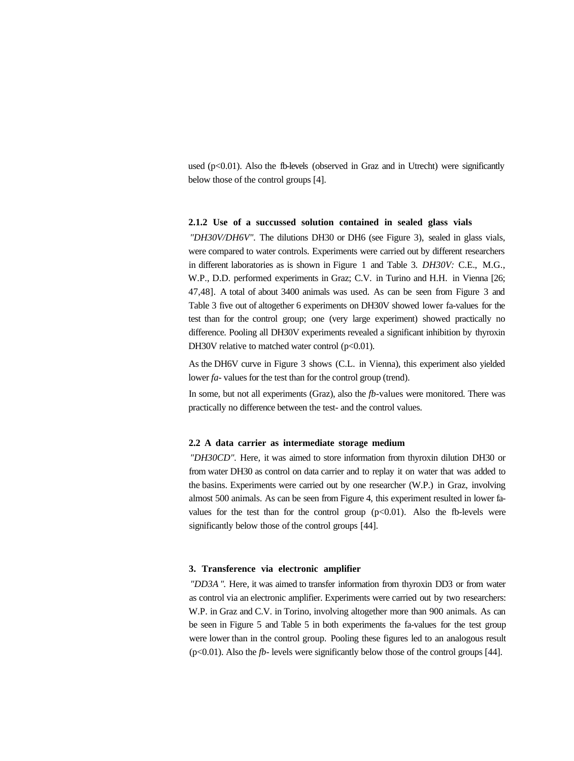used ( $p<0.01$ ). Also the fb-levels (observed in Graz and in Utrecht) were significantly below those of the control groups [4].

### **2.1.2 Use of a succussed solution contained in sealed glass vials**

*"DH30V/DH6V".* The dilutions DH30 or DH6 (see Figure 3), sealed in glass vials, were compared to water controls. Experiments were carried out by different researchers in different laboratories as is shown in Figure 1 and Table 3. *DH30V:* C.E., M.G., W.P., D.D. performed experiments in Graz; C.V. in Turino and H.H. in Vienna [26; 47,48]. A total of about 3400 animals was used. As can be seen from Figure 3 and Table 3 five out of altogether 6 experiments on DH30V showed lower fa-values for the test than for the control group; one (very large experiment) showed practically no difference. Pooling all DH30V experiments revealed a significant inhibition by thyroxin DH30V relative to matched water control  $(p<0.01)$ .

As the DH6V curve in Figure 3 shows (C.L. in Vienna), this experiment also yielded lower *fa*-values for the test than for the control group (trend).

In some, but not all experiments (Graz), also the *fb-*values were monitored. There was practically no difference between the test- and the control values.

## **2.2 A data carrier as intermediate storage medium**

*"DH30CD".* Here, it was aimed to store information from thyroxin dilution DH30 or from water DH30 as control on data carrier and to replay it on water that was added to the basins. Experiments were carried out by one researcher (W.P.) in Graz, involving almost 500 animals. As can be seen from Figure 4, this experiment resulted in lower favalues for the test than for the control group  $(p<0.01)$ . Also the fb-levels were significantly below those of the control groups [44].

#### **3. Transference via electronic amplifier**

*"DD3A ".* Here, it was aimed to transfer information from thyroxin DD3 or from water as control via an electronic amplifier. Experiments were carried out by two researchers: W.P. in Graz and C.V. in Torino, involving altogether more than 900 animals. As can be seen in Figure 5 and Table 5 in both experiments the fa-values for the test group were lower than in the control group. Pooling these figures led to an analogous result (p<0.01). Also the *fb-* levels were significantly below those of the control groups [44].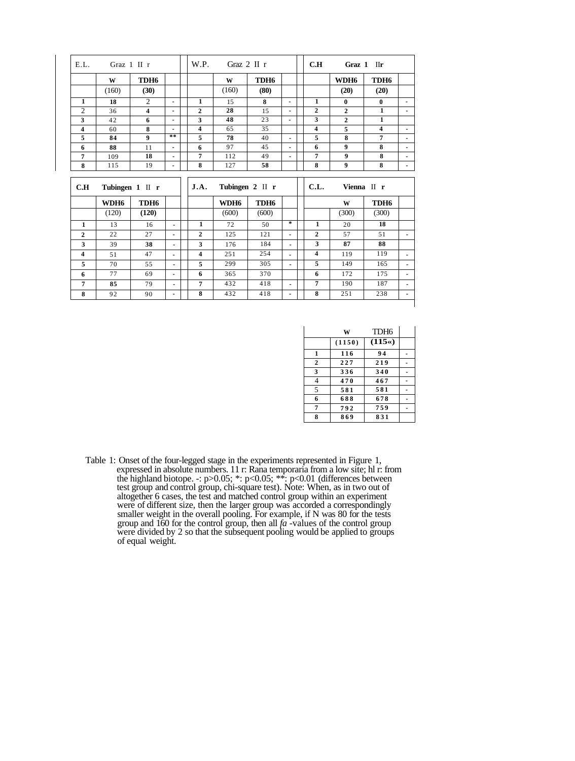| E.L.           |                        | Graz $1$ II r    |                | W.P.<br>Graz $2 \text{ II } r$ |       |                  |                | C.H                     | Graz 1 IIr       |                  |                |
|----------------|------------------------|------------------|----------------|--------------------------------|-------|------------------|----------------|-------------------------|------------------|------------------|----------------|
|                | W                      | TDH <sub>6</sub> |                |                                | W     | TDH <sub>6</sub> |                |                         | WDH <sub>6</sub> | TDH <sub>6</sub> |                |
|                | (160)                  | (30)             |                |                                | (160) | (80)             |                |                         | (20)             | (20)             |                |
| $\mathbf{1}$   | 18                     | $\overline{c}$   | $\blacksquare$ | 1                              | 15    | 8                | ٠              | 1                       | $\bf{0}$         | $\bf{0}$         | ٠              |
| $\overline{2}$ | 36                     | 4                | ٠              | $\overline{2}$                 | 28    | 15               | $\blacksquare$ | $\overline{2}$          | $\overline{2}$   | 1                | ٠              |
| 3              | 42                     | 6                | ٠              | 3                              | 48    | 23               | ٠              | 3                       | $\overline{2}$   | 1                |                |
| 4              | 60                     | 8                | ٠              | 4                              | 65    | 35               |                | $\overline{\mathbf{4}}$ | 5                | 4                | ٠              |
| 5              | 84                     | $\boldsymbol{9}$ | $\pm$ $\pm$    | 5                              | 78    | 40               | ٠              | 5                       | 8                | 7                | ٠              |
| 6              | 88                     | 11               | ٠              | 6                              | 97    | 45               |                | 6                       | $\boldsymbol{9}$ | 8                | ٠              |
| 7              | 109                    | 18               | $\blacksquare$ | 7                              | 112   | 49               | $\blacksquare$ | 7                       | 9                | 8                | ٠              |
| 8              | 115                    | 19               | ٠              | 8                              | 127   | 58               |                | 8                       | $\boldsymbol{9}$ | 8                | ۰              |
|                | C.H<br>Tubingen 1 II r |                  |                |                                |       |                  |                |                         |                  |                  |                |
|                |                        |                  |                | J.A.                           |       | Tubingen 2 II r  |                | C.L.                    |                  | Vienna II r      |                |
|                | WDH6                   | TDH <sub>6</sub> |                |                                | WDH6  | TDH <sub>6</sub> |                |                         | W                | TDH <sub>6</sub> |                |
|                | (120)                  | (120)            |                |                                | (600) | (600)            |                |                         | (300)            | (300)            |                |
| 1              | 13                     | 16               | $\blacksquare$ | 1                              | 72    | 50               | $\pm$          | 1                       | 20               | 18               |                |
| $\mathbf{2}$   | 22                     | 27               | $\blacksquare$ | $\overline{2}$                 | 125   | 121              | $\blacksquare$ | $\overline{2}$          | 57               | 51               | $\blacksquare$ |
| 3              | 39                     | 38               | $\blacksquare$ | 3                              | 176   | 184              | $\blacksquare$ | 3                       | 87               | 88               |                |
| 4              | 51                     | 47               | $\blacksquare$ | 4                              | 251   | 254              | $\blacksquare$ | 4                       | 119              | 119              | $\blacksquare$ |
| 5              | 70                     | 55               | $\blacksquare$ | 5                              | 299   | 305              | $\blacksquare$ | 5                       | 149              | 165              | ٠              |
| 6              | 77                     | 69               | $\blacksquare$ | 6                              | 365   | 370              |                | 6                       | 172              | 175              |                |
| $\overline{7}$ | 85                     | 79               | $\blacksquare$ | 7                              | 432   | 418              | $\blacksquare$ | 7                       | 190              | 187              | ٠              |

|              | w      | TDH <sub>6</sub> |  |
|--------------|--------|------------------|--|
|              | (1150) | $(115*)$         |  |
| 1            | 116    | 94               |  |
| $\mathbf{2}$ | 227    | 219              |  |
| 3            | 336    | 340              |  |
| 4            | 470    | 467              |  |
| 5            | 581    | 581              |  |
| 6            | 688    | 678              |  |
| 7            | 792    | 759              |  |
| 8            | 869    | 831              |  |

Table 1: Onset of the four-legged stage in the experiments represented in Figure 1, expressed in absolute numbers. 11 r: Rana temporaria from a low site; hl r: from the highland biotope. -: p>0.05; \*: p<0.05; \*\*: p<0.01 (differences between test group and control group, chi-square test). Note: When, as in two out of altogether 6 cases, the test and matched control group within an experiment were of different size, then the larger group was accorded a correspondingly smaller weight in the overall pooling. For example, if N was 80 for the tests group and 160 for the control group, then all *fa* -values of the control group were divided by 2 so that the subsequent pooling would be applied to groups of equal weight.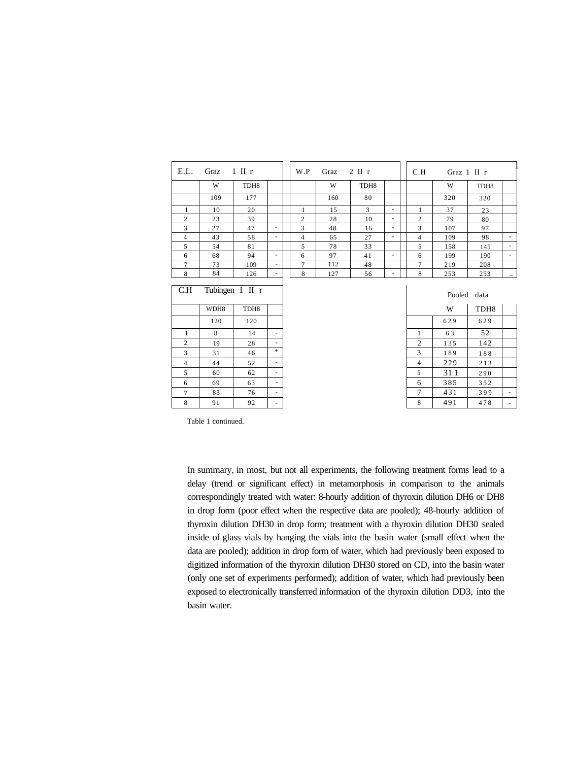| E.L.            | Graz | $1$ II r         |                                                                                                                                                                                                                                                                                                                                                                                                                                                                            | W.P            | Graz | $2 \text{ II } r$ |                          | C.H            | Graz 1 II r |                  |                          |
|-----------------|------|------------------|----------------------------------------------------------------------------------------------------------------------------------------------------------------------------------------------------------------------------------------------------------------------------------------------------------------------------------------------------------------------------------------------------------------------------------------------------------------------------|----------------|------|-------------------|--------------------------|----------------|-------------|------------------|--------------------------|
|                 | W    | TDH <sub>8</sub> |                                                                                                                                                                                                                                                                                                                                                                                                                                                                            |                | W    | TDH <sub>8</sub>  |                          |                | W           | TDH <sub>8</sub> |                          |
|                 | 109  | 177              |                                                                                                                                                                                                                                                                                                                                                                                                                                                                            |                | 160  | 80                |                          |                | 320         | 320              |                          |
| 1               | 10   | 20               |                                                                                                                                                                                                                                                                                                                                                                                                                                                                            | 1              | 15   | 3                 | $\overline{\phantom{a}}$ | 1              | 37          | 23               |                          |
| $\overline{2}$  | 23   | 39               |                                                                                                                                                                                                                                                                                                                                                                                                                                                                            | $\overline{c}$ | 28   | 10                | $\overline{\phantom{a}}$ | $\overline{c}$ | 79          | 80               |                          |
| 3               | 27   | 47               | $\overline{\phantom{a}}$                                                                                                                                                                                                                                                                                                                                                                                                                                                   | 3              | 48   | 16                | $\overline{\phantom{a}}$ | 3              | 107         | 97               |                          |
| $\overline{4}$  | 43   | 58               | $\overline{\phantom{a}}$                                                                                                                                                                                                                                                                                                                                                                                                                                                   | $\overline{4}$ | 65   | 27                | $\overline{\phantom{a}}$ | 4              | 109         | 98               | $\overline{\phantom{a}}$ |
| 5               | 54   | 81               |                                                                                                                                                                                                                                                                                                                                                                                                                                                                            | 5              | 78   | 33                |                          | 5              | 158         | 145              | $\overline{\phantom{a}}$ |
| 6               | 68   | 94               | $\overline{\phantom{a}}$                                                                                                                                                                                                                                                                                                                                                                                                                                                   | 6              | 97   | 41                | $\sim$                   | 6              | 199         | 190              | ٠                        |
| $7\phantom{.0}$ | 73   | 109              | $\overline{\phantom{a}}$                                                                                                                                                                                                                                                                                                                                                                                                                                                   | 7              | 112  | 48                |                          | $\overline{7}$ | 219         | 208              |                          |
| 8               | 84   | 126              | $\overline{\phantom{a}}$                                                                                                                                                                                                                                                                                                                                                                                                                                                   | 8              | 127  | 56                | ۰                        | 8              | 253         | 253              |                          |
| C.H             |      | Tubingen 1 II r  |                                                                                                                                                                                                                                                                                                                                                                                                                                                                            |                |      |                   |                          |                |             | Pooled data      |                          |
|                 | WDH8 | TDH <sub>8</sub> |                                                                                                                                                                                                                                                                                                                                                                                                                                                                            |                |      |                   |                          |                | W           | TDH <sub>8</sub> |                          |
|                 | 120  | 120              |                                                                                                                                                                                                                                                                                                                                                                                                                                                                            |                |      |                   |                          |                | 629         | 629              |                          |
| $\mathbf{1}$    | 8    | 14               | $\overline{\phantom{a}}$                                                                                                                                                                                                                                                                                                                                                                                                                                                   |                |      |                   |                          | 1              | 63          | 52               |                          |
| $\overline{2}$  | 19   | 28               | $\overline{\phantom{a}}$                                                                                                                                                                                                                                                                                                                                                                                                                                                   |                |      |                   |                          | $\overline{2}$ | 135         | 142              |                          |
| $\overline{3}$  | 31   | 46               | $\ast$                                                                                                                                                                                                                                                                                                                                                                                                                                                                     |                |      |                   |                          | 3              | 189         | 188              |                          |
| $\overline{4}$  | 44   | 52               | $\overline{\phantom{a}}$                                                                                                                                                                                                                                                                                                                                                                                                                                                   |                |      |                   |                          | $\overline{4}$ | 229         | 213              |                          |
| 5               | 60   | 62               | $\overline{\phantom{a}}$                                                                                                                                                                                                                                                                                                                                                                                                                                                   |                |      |                   |                          | 5              | 311         | 290              |                          |
| 6               | 69   | 63               | $\frac{1}{2} \left( \frac{1}{2} \right) \left( \frac{1}{2} \right) \left( \frac{1}{2} \right) \left( \frac{1}{2} \right) \left( \frac{1}{2} \right) \left( \frac{1}{2} \right) \left( \frac{1}{2} \right) \left( \frac{1}{2} \right) \left( \frac{1}{2} \right) \left( \frac{1}{2} \right) \left( \frac{1}{2} \right) \left( \frac{1}{2} \right) \left( \frac{1}{2} \right) \left( \frac{1}{2} \right) \left( \frac{1}{2} \right) \left( \frac{1}{2} \right) \left( \frac$ |                |      |                   |                          | 6              | 385         | 352              |                          |

 

 

- -

Table 1 continued.

    - -

 

> In summary, in most, but not all experiments, the following treatment forms lead to a delay (trend or significant effect) in metamorphosis in comparison to the animals correspondingly treated with water: 8-hourly addition of thyroxin dilution DH6 or DH8 in drop form (poor effect when the respective data are pooled); 48-hourly addition of thyroxin dilution DH30 in drop form; treatment with a thyroxin dilution DH30 sealed inside of glass vials by hanging the vials into the basin water (small effect when the data are pooled); addition in drop form of water, which had previously been exposed to digitized information of the thyroxin dilution DH30 stored on CD, into the basin water (only one set of experiments performed); addition of water, which had previously been exposed to electronically transferred information of the thyroxin dilution DD3, into the basin water.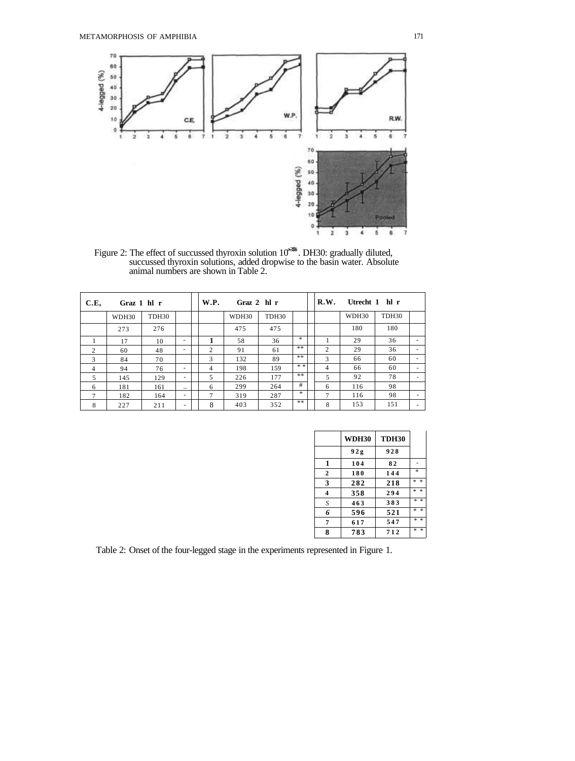

Figure 2: The effect of succussed thyroxin solution 10<sup>336</sup>. DH30: gradually diluted, succussed thyroxin solutions, added dropwise to the basin water. Absolute animal numbers are shown in Table 2.

| C.E,           | Graz 1 hl r |                   |                          |   | W.P.<br>Graz $2$ hl r |                   |        | R.W.<br>Utrecht 1 hl r |       |                   |                          |
|----------------|-------------|-------------------|--------------------------|---|-----------------------|-------------------|--------|------------------------|-------|-------------------|--------------------------|
|                | WDH30       | TDH <sub>30</sub> |                          |   | WDH30                 | TDH <sub>30</sub> |        |                        | WDH30 | TDH <sub>30</sub> |                          |
|                | 273         | 276               |                          |   | 475                   | 475               |        |                        | 180   | 180               |                          |
|                | 17          | 10                | ٠                        | 1 | 58                    | 36                | $\ast$ |                        | 29    | 36                | ۰                        |
| $\mathcal{D}$  | 60          | 48                | ٠                        | 2 | 91                    | 61                | **     | $\mathfrak{2}$         | 29    | 36                | ۰                        |
| 3              | 84          | 70                |                          | 3 | 132                   | 89                | **     | 3                      | 66    | 60                | ۰                        |
| $\overline{4}$ | 94          | 76                | ۰                        | 4 | 198                   | 159               | * *    | $\overline{4}$         | 66    | 60                | $\sim$                   |
| 5              | 145         | 129               | ٠                        | 5 | 226                   | 177               | $* *$  | 5                      | 92    | 78                |                          |
| 6              | 181         | 161               | $\overline{\phantom{0}}$ | 6 | 299                   | 264               | #      | 6                      | 116   | 98                |                          |
| 7              | 182         | 164               |                          | 7 | 319                   | 287               | $*$    | $\tau$                 | 116   | 98                | $\overline{\phantom{a}}$ |
| 8              | 227         | 211               | $\overline{\phantom{a}}$ | 8 | 403                   | 352               | **     | 8                      | 153   | 151               |                          |

|              | <b>WDH30</b> | <b>TDH30</b> |                                                    |
|--------------|--------------|--------------|----------------------------------------------------|
|              | 92g          | 928          |                                                    |
| 1            | 104          | 82           |                                                    |
| $\mathbf{2}$ | 180          | 144          | $\frac{d\mathbf{r}}{d\mathbf{x}}$                  |
| 3            | 282          | 218          | $\frac{1}{2}$<br>$\frac{d\mathbf{r}}{d\mathbf{x}}$ |
| 4            | 358          | 294          | ×.<br>$\frac{1}{2}$                                |
| S            | 463          | 383          | * *                                                |
| 6            | 596          | 521          | $\ast$<br>×.                                       |
| 7            | 617          | 547          | ×.<br>$\frac{1}{2}$                                |
| 8            | 783          | 712          | *<br>$\frac{d\mathbf{r}}{d\mathbf{x}}$             |

Table 2: Onset of the four-legged stage in the experiments represented in Figure 1.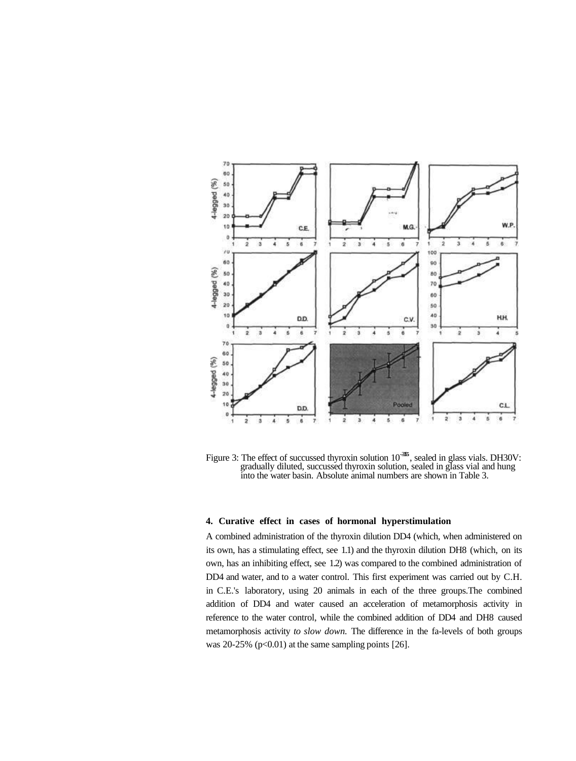

Figure 3: The effect of succussed thyroxin solution  $10^{-355}$ , sealed in glass vials. DH30V: gradually diluted, succussed thyroxin solution, sealed in glass vial and hung into the water basin. Absolute animal numbers are shown in Table 3.

# **4. Curative effect in cases of hormonal hyperstimulation**

A combined administration of the thyroxin dilution DD4 (which, when administered on its own, has a stimulating effect, see 1.1) and the thyroxin dilution DH8 (which, on its own, has an inhibiting effect, see 1.2) was compared to the combined administration of DD4 and water, and to a water control. This first experiment was carried out by C.H. in C.E.'s laboratory, using 20 animals in each of the three groups.The combined addition of DD4 and water caused an acceleration of metamorphosis activity in reference to the water control, while the combined addition of DD4 and DH8 caused metamorphosis activity *to slow down.* The difference in the fa-levels of both groups was 20-25% ( $p<0.01$ ) at the same sampling points [26].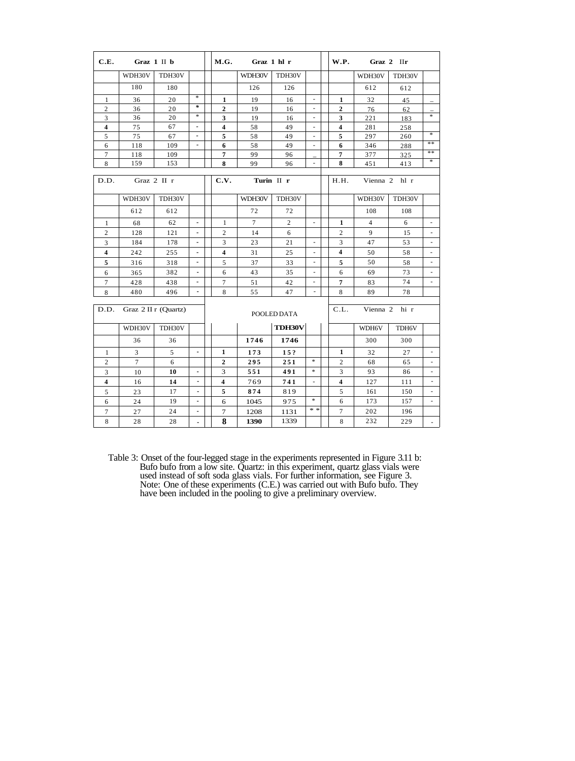| C.E.                    |                | Graz 1 II b          |                          | M.G.                    | Graz 1 hl r    |                |                          |  |                          | W.P.<br>Graz 2 IIr |        |                          |  |  |
|-------------------------|----------------|----------------------|--------------------------|-------------------------|----------------|----------------|--------------------------|--|--------------------------|--------------------|--------|--------------------------|--|--|
|                         | WDH30V         | TDH30V               |                          |                         | WDH30V         | TDH30V         |                          |  |                          | WDH30V             | TDH30V |                          |  |  |
|                         | 180            | 180                  |                          |                         | 126            | 126            |                          |  |                          | 612                | 612    |                          |  |  |
| $\mathbf{1}$            | 36             | 20                   | $\ast$                   | $\mathbf{1}$            | 19             | 16             | $\overline{\phantom{a}}$ |  | 1                        | 32                 | 45     |                          |  |  |
| 2                       | 36             | 20                   | $\ast$                   | $\boldsymbol{2}$        | 19             | 16             |                          |  | $\overline{2}$           | 76                 | 62     |                          |  |  |
| 3                       | 36             | 20                   | *                        | 3                       | 19             | 16             | $\overline{\phantom{a}}$ |  | 3                        | 221                | 183    | ¥                        |  |  |
| $\overline{\mathbf{4}}$ | 75             | 67                   | $\overline{\phantom{a}}$ | $\overline{\mathbf{4}}$ | 58             | 49             |                          |  | 4                        | 281                | 258    |                          |  |  |
| 5                       | 75             | 67                   | $\blacksquare$           | 5                       | 58             | 49             | $\overline{\phantom{a}}$ |  | 5                        | 297                | 260    | *                        |  |  |
| 6                       | 118            | 109                  | $\blacksquare$           | 6                       | 58             | 49             | $\blacksquare$           |  | 6                        | 346                | 288    | **                       |  |  |
| 7                       | 118            | 109                  |                          | $\overline{7}$          | 99             | 96             |                          |  | 7                        | 377                | 325    | **                       |  |  |
| 8                       | 159            | 153                  |                          | 8                       | 99             | 96             | $\overline{\phantom{a}}$ |  | 8                        | 451                | 413    | $\ast$                   |  |  |
| D.D.                    |                | Graz 2 II r          |                          | C.V.<br>Turin II r      |                |                |                          |  | H.H.                     | Vienna 2           | hl r   |                          |  |  |
|                         | WDH30V         | TDH30V               |                          |                         | WDH30V         | TDH30V         |                          |  |                          | WDH30V             | TDH30V |                          |  |  |
|                         | 612            | 612                  |                          |                         | 72             | 72             |                          |  |                          | 108                | 108    |                          |  |  |
| 1                       | 68             | 62                   | $\blacksquare$           | $\mathbf{1}$            | $\overline{7}$ | $\overline{c}$ |                          |  | $\mathbf{1}$             | $\overline{4}$     | 6      | $\overline{\phantom{a}}$ |  |  |
| $\overline{c}$          | 128            | 121                  | $\blacksquare$           | $\overline{2}$          | 14             | 6              |                          |  | $\overline{c}$           | 9                  | 15     | $\sim$                   |  |  |
| 3                       | 184            | 178                  |                          | 3                       | 23             | 21             |                          |  | 3                        | 47                 | 53     | $\overline{\phantom{a}}$ |  |  |
| $\overline{\mathbf{4}}$ | 242            | 255                  | $\blacksquare$           | $\overline{\mathbf{4}}$ | 31             | 25             |                          |  | 4                        | 50                 | 58     | $\overline{\phantom{a}}$ |  |  |
| 5                       | 316            | 318                  | $\blacksquare$           | 5                       | 37             | 33             |                          |  | 5                        | 50                 | 58     | $\blacksquare$           |  |  |
| 6                       | 365            | 382                  | $\blacksquare$           | 6                       | 43             | 35             |                          |  | 6                        | 69                 | 73     | $\sim$                   |  |  |
| $\overline{7}$          | 428            | 438                  |                          | 7                       | 51             | 42             |                          |  | 7                        | 83                 | 74     |                          |  |  |
| 8                       | 480            | 496                  | $\blacksquare$           | 8                       | 55             | 47             | $\overline{\phantom{a}}$ |  | 8                        | 89                 | 78     |                          |  |  |
| D.D.                    |                | Graz 2 II r (Quartz) |                          | POOLED DATA             |                |                |                          |  | C.L.<br>Vienna 2<br>hi r |                    |        |                          |  |  |
|                         | WDH30V         | TDH30V               |                          |                         |                | <b>TDH30V</b>  |                          |  |                          | WDH6V              | TDH6V  |                          |  |  |
|                         | 36             | 36                   |                          |                         | 1746           | 1746           |                          |  |                          | 300                | 300    |                          |  |  |
| $\mathbf{1}$            | 3              | 5                    | $\blacksquare$           | 1                       | 173            | 15?            |                          |  | 1                        | 32                 | 27     | $\overline{\phantom{a}}$ |  |  |
| $\overline{2}$          | $\overline{7}$ | 6                    |                          | $\overline{2}$          | 295            | 251            | $\ast$                   |  | $\overline{c}$           | 68                 | 65     |                          |  |  |
| 3                       | 10             | 10                   | $\blacksquare$           | 3                       | 551            | 491            | $\ast$                   |  | 3                        | 93                 | 86     | $\overline{\phantom{a}}$ |  |  |
| 4                       | 16             | 14                   | $\blacksquare$           | 4                       | 769            | 741            | $\sim$                   |  | 4                        | 127                | 111    | $\blacksquare$           |  |  |
| 5                       | 23             | 17                   | $\blacksquare$           | 5                       | 874            | 819            |                          |  | 5                        | 161                | 150    |                          |  |  |
| 6                       | 24             | 19                   | $\blacksquare$           | 6                       | 1045           | 975            | $\ast$                   |  | 6                        | 173                | 157    | $\overline{\phantom{a}}$ |  |  |
| 7                       | 27             | 24                   | $\blacksquare$           | 7                       | 1208           | 1131           | * *                      |  | $\overline{7}$           | 202                | 196    |                          |  |  |
| $\,8\,$                 | 28             | 28                   | $\blacksquare$           | 8                       | 1390           | 1339           |                          |  | 8                        | 232                | 229    |                          |  |  |

Table 3: Onset of the four-legged stage in the experiments represented in Figure 3.11 b: Bufo bufo from a low site. Quartz: in this experiment, quartz glass vials were used instead of soft soda glass vials. For further information, see Figure 3. Note: One of these experiments (C.E.) was carried out with Bufo bufo. They have been included in the pooling to give a preliminary overview.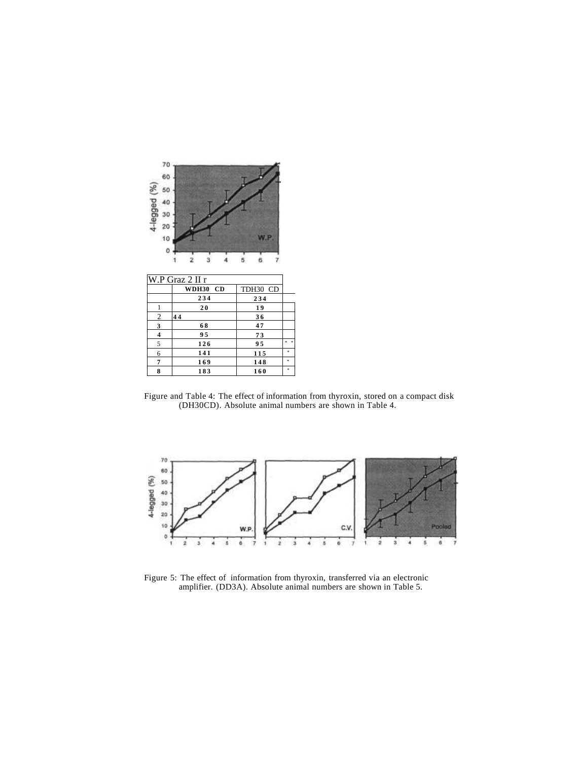| ś  |
|----|
| *  |
|    |
| *  |
| s. |

Figure and Table 4: The effect of information from thyroxin, stored on a compact disk (DH30CD). Absolute animal numbers are shown in Table 4.



Figure 5: The effect of information from thyroxin, transferred via an electronic amplifier. (DD3A). Absolute animal numbers are shown in Table 5.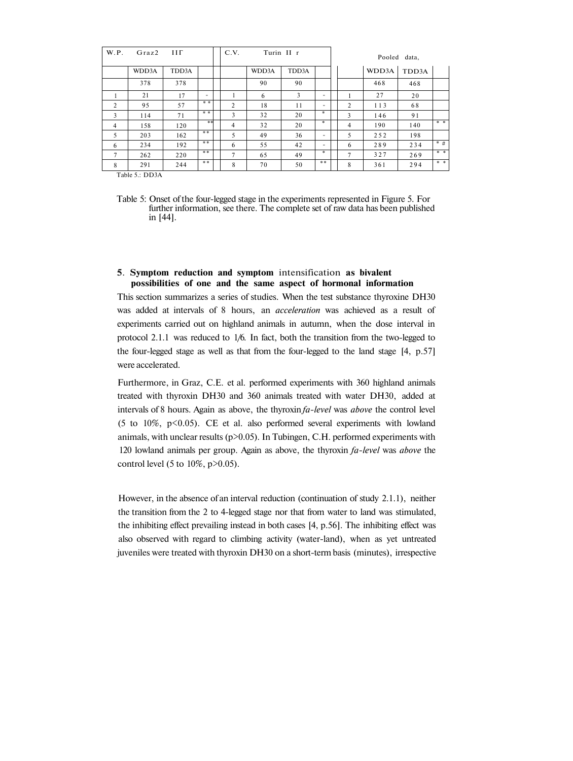| W.P.           | Graz2                  | Ш     |     | C.V.           |       | Turin II r |     | Pooled data,   |       |       |       |
|----------------|------------------------|-------|-----|----------------|-------|------------|-----|----------------|-------|-------|-------|
|                | WDD3A                  | TDD3A |     |                | WDD3A | TDD3A      |     |                | WDD3A | TDD3A |       |
|                | 378                    | 378   |     |                | 90    | 90         |     |                | 468   | 468   |       |
|                | 21                     | 17    | -   |                | 6     | 3          | -   |                | 27    | 20    |       |
| $\mathfrak{D}$ | 95                     | 57    | * * | 2              | 18    | 11         |     | $\overline{c}$ | 113   | 68    |       |
| 3              | 114                    | 71    | * * | 3              | 32    | 20         | $*$ | 3              | 146   | 91    |       |
| $\overline{4}$ | 158                    | 120   | **  | 4              | 32    | 20         | $*$ | $\overline{4}$ | 190   | 140   | * *   |
| 5              | 203                    | 162   | **  | 5              | 49    | 36         | -   | 5              | 252   | 198   |       |
| 6              | 234                    | 192   | **  | 6              | 55    | 42         | -   | 6              | 289   | 234   | $*$ # |
| $\tau$         | 262                    | 220   | **  | $\overline{7}$ | 65    | 49         | *   | $\overline{7}$ | 327   | 269   | * *   |
| 8              | 291<br>$m + 1 - m + n$ | 244   | **  | 8              | 70    | 50         | **  | 8              | 361   | 294   | * *   |

Table 5.: DD3A

Table 5: Onset of the four-legged stage in the experiments represented in Figure 5. For further information, see there. The complete set of raw data has been published in [44].

# **5**. **Symptom reduction and symptom** intensification **as bivalent possibilities of one and the same aspect of hormonal information**

This section summarizes a series of studies. When the test substance thyroxine DH30 was added at intervals of 8 hours, an *acceleration* was achieved as a result of experiments carried out on highland animals in autumn, when the dose interval in protocol 2.1.1 was reduced to 1/6. In fact, both the transition from the two-legged to the four-legged stage as well as that from the four-legged to the land stage [4, p.57] were accelerated.

Furthermore, in Graz, C.E. et al. performed experiments with 360 highland animals treated with thyroxin DH30 and 360 animals treated with water DH30, added at intervals of 8 hours. Again as above, the thyroxin *fa-level* was *above* the control level (5 to 10%,  $p$ <0.05). CE et al. also performed several experiments with lowland animals, with unclear results (p>0.05). In Tubingen, C.H. performed experiments with 120 lowland animals per group. Again as above, the thyroxin *fa-level* was *above* the control level (5 to  $10\%$ ,  $p > 0.05$ ).

However, in the absence of an interval reduction (continuation of study 2.1.1), neither the transition from the 2 to 4-legged stage nor that from water to land was stimulated, the inhibiting effect prevailing instead in both cases [4, p.56]. The inhibiting effect was also observed with regard to climbing activity (water-land), when as yet untreated juveniles were treated with thyroxin DH30 on a short-term basis (minutes), irrespective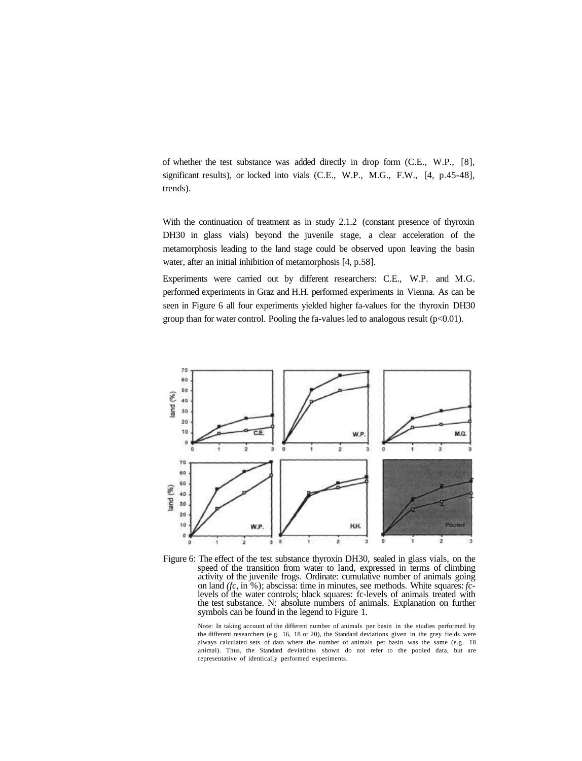of whether the test substance was added directly in drop form (C.E., W.P., [8], significant results), or locked into vials (C.E., W.P., M.G., F.W., [4, p.45-48], trends).

With the continuation of treatment as in study 2.1.2 (constant presence of thyroxin DH30 in glass vials) beyond the juvenile stage, a clear acceleration of the metamorphosis leading to the land stage could be observed upon leaving the basin water, after an initial inhibition of metamorphosis [4, p.58].

Experiments were carried out by different researchers: C.E., W.P. and M.G. performed experiments in Graz and H.H. performed experiments in Vienna. As can be seen in Figure 6 all four experiments yielded higher fa-values for the thyroxin DH30 group than for water control. Pooling the fa-values led to analogous result  $(p<0.01)$ .



Figure 6: The effect of the test substance thyroxin DH30, sealed in glass vials, on the speed of the transition from water to land, expressed in terms of climbing activity of the juvenile frogs. Ordinate: cumulative number of animals going on land *(fc,* in %); abscissa: time in minutes, see methods. White squares: *fc*levels of the water controls; black squares: fc-levels of animals treated with the test substance. N: absolute numbers of animals. Explanation on further symbols can be found in the legend to Figure 1.

Note: In taking account of the different number of animals per basin in the studies performed by the different researchers (e.g. 16, 18 or 20), the Standard deviations given in the grey fields were always calculated sets of data where the number of animals per basin was the same (e.g. 18 animal). Thus, the Standard deviations shown do not refer to the pooled data, but are representative of identically performed experiments.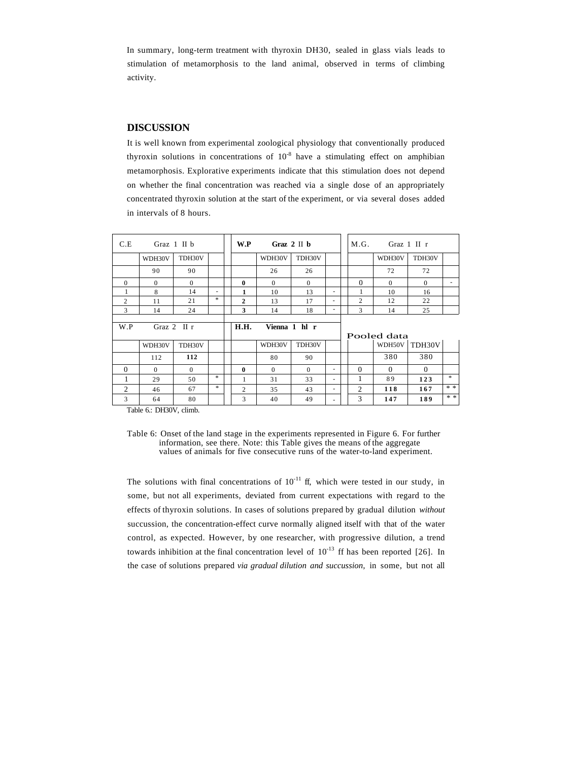In summary, long-term treatment with thyroxin DH30, sealed in glass vials leads to stimulation of metamorphosis to the land animal, observed in terms of climbing activity.

# **DISCUSSION**

It is well known from experimental zoological physiology that conventionally produced thyroxin solutions in concentrations of  $10^{-8}$  have a stimulating effect on amphibian metamorphosis. Explorative experiments indicate that this stimulation does not depend on whether the final concentration was reached via a single dose of an appropriately concentrated thyroxin solution at the start of the experiment, or via several doses added in intervals of 8 hours.

| C.E                  |          | Graz $1 \nI b$ |               | W.P            | Graz $2 \text{ II}$ b |               |   |                | Graz $1$ II r<br>M.G. |          |               |  |
|----------------------|----------|----------------|---------------|----------------|-----------------------|---------------|---|----------------|-----------------------|----------|---------------|--|
|                      | WDH30V   | TDH30V         |               |                | WDH30V                | TDH30V        |   |                | WDH30V                | TDH30V   |               |  |
|                      | 90       | 90             |               |                | 26                    | 26            |   |                | 72                    | 72       |               |  |
| $\Omega$             | $\Omega$ | $\Omega$       |               | $\mathbf{0}$   | $\Omega$              | $\Omega$      |   | $\Omega$       | $\Omega$              | $\Omega$ |               |  |
|                      | 8        | 14             | ٠             | 1              | 10                    | 13            |   |                | 10                    | 16       |               |  |
| $\overline{2}$       | 11       | 21             | *             | $\mathbf{2}$   | 13                    | 17            |   | $\overline{c}$ | 12                    | 22       |               |  |
| 3                    | 14       | 24             |               | 3              | 14                    | 18            |   | 3              | 14                    | 25       |               |  |
| Graz $2$ II r<br>W.P |          |                |               | <b>H.H.</b>    |                       | Vienna 1 hl r |   |                |                       |          |               |  |
|                      |          |                |               |                |                       |               |   |                | Pooled data           |          |               |  |
|                      | WDH30V   | TDH30V         |               |                | WDH30V                | TDH30V        |   |                | WDH50V                | TDH30V   |               |  |
|                      | 112      | 112            |               |                | 80                    | 90            |   |                | 380                   | 380      |               |  |
| $\Omega$             | $\Omega$ | $\Omega$       |               | $\mathbf{0}$   | $\theta$              | $\Omega$      | ۰ | $\Omega$       | $\Omega$              | $\Omega$ |               |  |
| 1                    | 29       | 50             | $\gg$         | 1              | 31                    | 33            | ۰ | 1              | 89                    | 123      | $\frac{1}{2}$ |  |
| 2                    | 46       | 67             | $\frac{1}{2}$ | $\overline{c}$ | 35                    | 43            | ۰ | $\overline{c}$ | 118                   | 167      | * *           |  |

Table 6.: DH30V, climb.

The solutions with final concentrations of  $10^{-11}$  ff, which were tested in our study, in some, but not all experiments, deviated from current expectations with regard to the effects of thyroxin solutions. In cases of solutions prepared by gradual dilution *without* succussion, the concentration-effect curve normally aligned itself with that of the water control, as expected. However, by one researcher, with progressive dilution, a trend towards inhibition at the final concentration level of  $10^{-13}$  ff has been reported [26]. In the case of solutions prepared *via gradual dilution and succussion,* in some, but not all

Table 6: Onset of the land stage in the experiments represented in Figure 6. For further information, see there. Note: this Table gives the means of the aggregate values of animals for five consecutive runs of the water-to-land experiment.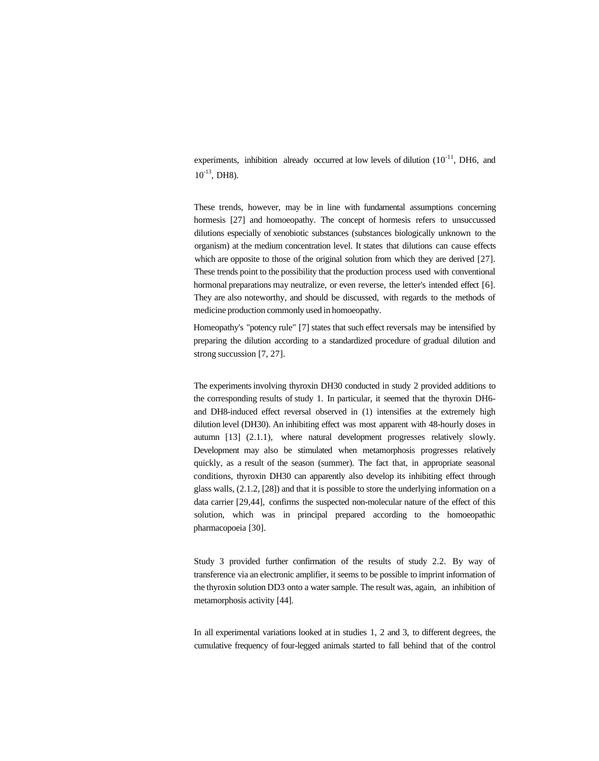experiments, inhibition already occurred at low levels of dilution  $(10^{-11}, \text{DH6}, \text{ and})$  $10^{-13}$ , DH8).

These trends, however, may be in line with fundamental assumptions concerning hormesis [27] and homoeopathy. The concept of hormesis refers to unsuccussed dilutions especially of xenobiotic substances (substances biologically unknown to the organism) at the medium concentration level. It states that dilutions can cause effects which are opposite to those of the original solution from which they are derived [27]. These trends point to the possibility that the production process used with conventional hormonal preparations may neutralize, or even reverse, the letter's intended effect [6]. They are also noteworthy, and should be discussed, with regards to the methods of medicine production commonly used in homoeopathy.

Homeopathy's "potency rule" [7] states that such effect reversals may be intensified by preparing the dilution according to a standardized procedure of gradual dilution and strong succussion [7, 27].

The experiments involving thyroxin DH30 conducted in study 2 provided additions to the corresponding results of study 1. In particular, it seemed that the thyroxin DH6 and DH8-induced effect reversal observed in (1) intensifies at the extremely high dilution level (DH30). An inhibiting effect was most apparent with 48-hourly doses in autumn [13] (2.1.1), where natural development progresses relatively slowly. Development may also be stimulated when metamorphosis progresses relatively quickly, as a result of the season (summer). The fact that, in appropriate seasonal conditions, thyroxin DH30 can apparently also develop its inhibiting effect through glass walls, (2.1.2, [28]) and that it is possible to store the underlying information on a data carrier [29,44], confirms the suspected non-molecular nature of the effect of this solution, which was in principal prepared according to the homoeopathic pharmacopoeia [30].

Study 3 provided further confirmation of the results of study 2.2. By way of transference via an electronic amplifier, it seems to be possible to imprint information of the thyroxin solution DD3 onto a water sample. The result was, again, an inhibition of metamorphosis activity [44].

In all experimental variations looked at in studies 1, 2 and 3, to different degrees, the cumulative frequency of four-legged animals started to fall behind that of the control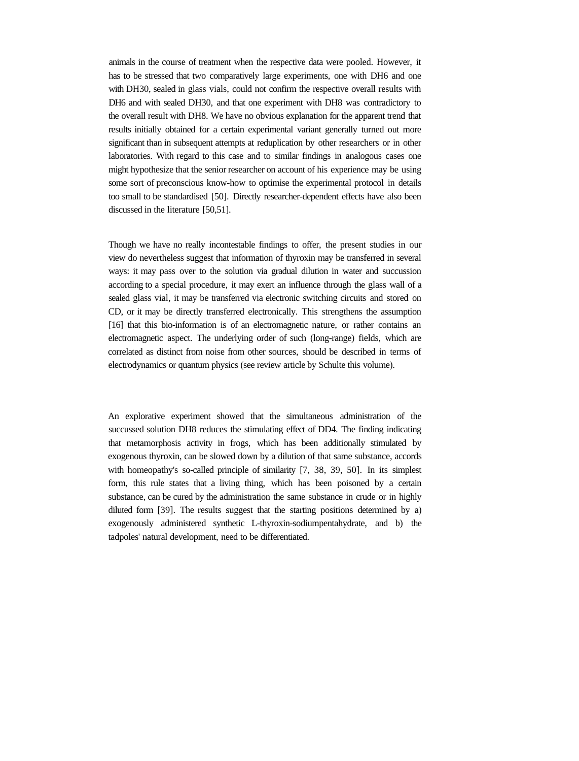animals in the course of treatment when the respective data were pooled. However, it has to be stressed that two comparatively large experiments, one with DH6 and one with DH30, sealed in glass vials, could not confirm the respective overall results with DH6 and with sealed DH30, and that one experiment with DH8 was contradictory to the overall result with DH8. We have no obvious explanation for the apparent trend that results initially obtained for a certain experimental variant generally turned out more significant than in subsequent attempts at reduplication by other researchers or in other laboratories. With regard to this case and to similar findings in analogous cases one might hypothesize that the senior researcher on account of his experience may be using some sort of preconscious know-how to optimise the experimental protocol in details too small to be standardised [50]. Directly researcher-dependent effects have also been discussed in the literature [50,51].

Though we have no really incontestable findings to offer, the present studies in our view do nevertheless suggest that information of thyroxin may be transferred in several ways: it may pass over to the solution via gradual dilution in water and succussion according to a special procedure, it may exert an influence through the glass wall of a sealed glass vial, it may be transferred via electronic switching circuits and stored on CD, or it may be directly transferred electronically. This strengthens the assumption [16] that this bio-information is of an electromagnetic nature, or rather contains an electromagnetic aspect. The underlying order of such (long-range) fields, which are correlated as distinct from noise from other sources, should be described in terms of electrodynamics or quantum physics (see review article by Schulte this volume).

An explorative experiment showed that the simultaneous administration of the succussed solution DH8 reduces the stimulating effect of DD4. The finding indicating that metamorphosis activity in frogs, which has been additionally stimulated by exogenous thyroxin, can be slowed down by a dilution of that same substance, accords with homeopathy's so-called principle of similarity [7, 38, 39, 50]. In its simplest form, this rule states that a living thing, which has been poisoned by a certain substance, can be cured by the administration the same substance in crude or in highly diluted form [39]. The results suggest that the starting positions determined by a) exogenously administered synthetic L-thyroxin-sodiumpentahydrate, and b) the tadpoles' natural development, need to be differentiated.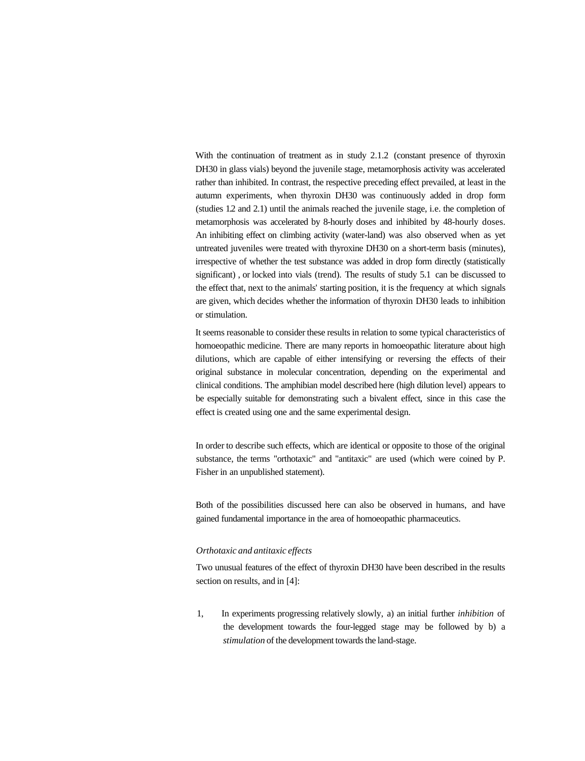With the continuation of treatment as in study 2.1.2 (constant presence of thyroxin DH30 in glass vials) beyond the juvenile stage, metamorphosis activity was accelerated rather than inhibited. In contrast, the respective preceding effect prevailed, at least in the autumn experiments, when thyroxin DH30 was continuously added in drop form (studies 1.2 and 2.1) until the animals reached the juvenile stage, i.e. the completion of metamorphosis was accelerated by 8-hourly doses and inhibited by 48-hourly doses. An inhibiting effect on climbing activity (water-land) was also observed when as yet untreated juveniles were treated with thyroxine DH30 on a short-term basis (minutes), irrespective of whether the test substance was added in drop form directly (statistically significant) , or locked into vials (trend). The results of study 5.1 can be discussed to the effect that, next to the animals' starting position, it is the frequency at which signals are given, which decides whether the information of thyroxin DH30 leads to inhibition or stimulation.

It seems reasonable to consider these results in relation to some typical characteristics of homoeopathic medicine. There are many reports in homoeopathic literature about high dilutions, which are capable of either intensifying or reversing the effects of their original substance in molecular concentration, depending on the experimental and clinical conditions. The amphibian model described here (high dilution level) appears to be especially suitable for demonstrating such a bivalent effect, since in this case the effect is created using one and the same experimental design.

In order to describe such effects, which are identical or opposite to those of the original substance, the terms "orthotaxic" and "antitaxic" are used (which were coined by P. Fisher in an unpublished statement).

Both of the possibilities discussed here can also be observed in humans, and have gained fundamental importance in the area of homoeopathic pharmaceutics.

## *Orthotaxic and antitaxic effects*

Two unusual features of the effect of thyroxin DH30 have been described in the results section on results, and in [4]:

1, In experiments progressing relatively slowly, a) an initial further *inhibition* of the development towards the four-legged stage may be followed by b) a *stimulation* of the development towards the land-stage.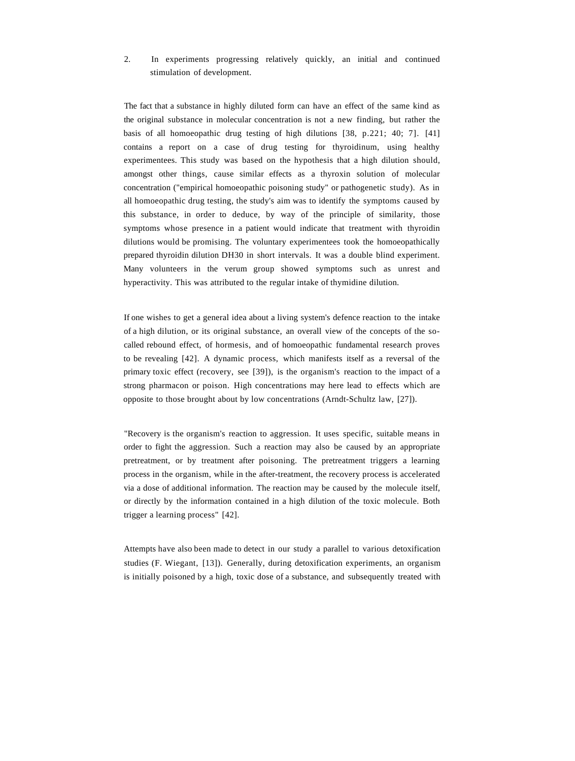# 2. In experiments progressing relatively quickly, an initial and continued stimulation of development.

The fact that a substance in highly diluted form can have an effect of the same kind as the original substance in molecular concentration is not a new finding, but rather the basis of all homoeopathic drug testing of high dilutions [38, p.221; 40; 7]. [41] contains a report on a case of drug testing for thyroidinum, using healthy experimentees. This study was based on the hypothesis that a high dilution should, amongst other things, cause similar effects as a thyroxin solution of molecular concentration ("empirical homoeopathic poisoning study" or pathogenetic study). As in all homoeopathic drug testing, the study's aim was to identify the symptoms caused by this substance, in order to deduce, by way of the principle of similarity, those symptoms whose presence in a patient would indicate that treatment with thyroidin dilutions would be promising. The voluntary experimentees took the homoeopathically prepared thyroidin dilution DH30 in short intervals. It was a double blind experiment. Many volunteers in the verum group showed symptoms such as unrest and hyperactivity. This was attributed to the regular intake of thymidine dilution.

If one wishes to get a general idea about a living system's defence reaction to the intake of a high dilution, or its original substance, an overall view of the concepts of the socalled rebound effect, of hormesis, and of homoeopathic fundamental research proves to be revealing [42]. A dynamic process, which manifests itself as a reversal of the primary toxic effect (recovery, see [39]), is the organism's reaction to the impact of a strong pharmacon or poison. High concentrations may here lead to effects which are opposite to those brought about by low concentrations (Arndt-Schultz law, [27]).

"Recovery is the organism's reaction to aggression. It uses specific, suitable means in order to fight the aggression. Such a reaction may also be caused by an appropriate pretreatment, or by treatment after poisoning. The pretreatment triggers a learning process in the organism, while in the after-treatment, the recovery process is accelerated via a dose of additional information. The reaction may be caused by the molecule itself, or directly by the information contained in a high dilution of the toxic molecule. Both trigger a learning process" [42].

Attempts have also been made to detect in our study a parallel to various detoxification studies (F. Wiegant, [13]). Generally, during detoxification experiments, an organism is initially poisoned by a high, toxic dose of a substance, and subsequently treated with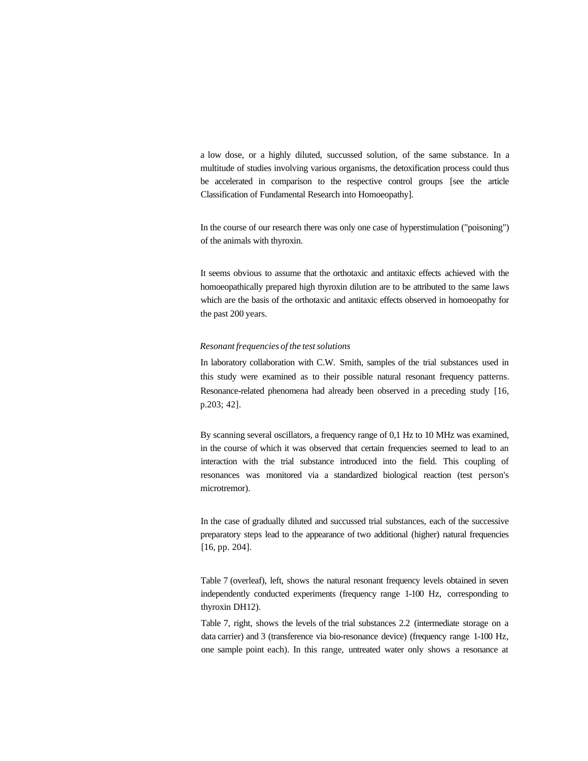a low dose, or a highly diluted, succussed solution, of the same substance. In a multitude of studies involving various organisms, the detoxification process could thus be accelerated in comparison to the respective control groups [see the article Classification of Fundamental Research into Homoeopathy].

In the course of our research there was only one case of hyperstimulation ("poisoning") of the animals with thyroxin.

It seems obvious to assume that the orthotaxic and antitaxic effects achieved with the homoeopathically prepared high thyroxin dilution are to be attributed to the same laws which are the basis of the orthotaxic and antitaxic effects observed in homoeopathy for the past 200 years.

## *Resonant frequencies of the test solutions*

In laboratory collaboration with C.W. Smith, samples of the trial substances used in this study were examined as to their possible natural resonant frequency patterns. Resonance-related phenomena had already been observed in a preceding study [16, p.203; 42].

By scanning several oscillators, a frequency range of 0,1 Hz to 10 MHz was examined, in the course of which it was observed that certain frequencies seemed to lead to an interaction with the trial substance introduced into the field. This coupling of resonances was monitored via a standardized biological reaction (test person's microtremor).

In the case of gradually diluted and succussed trial substances, each of the successive preparatory steps lead to the appearance of two additional (higher) natural frequencies [16, pp. 204].

Table 7 (overleaf), left, shows the natural resonant frequency levels obtained in seven independently conducted experiments (frequency range 1-100 Hz, corresponding to thyroxin DH12).

Table 7, right, shows the levels of the trial substances 2.2 (intermediate storage on a data carrier) and 3 (transference via bio-resonance device) (frequency range 1-100 Hz, one sample point each). In this range, untreated water only shows a resonance at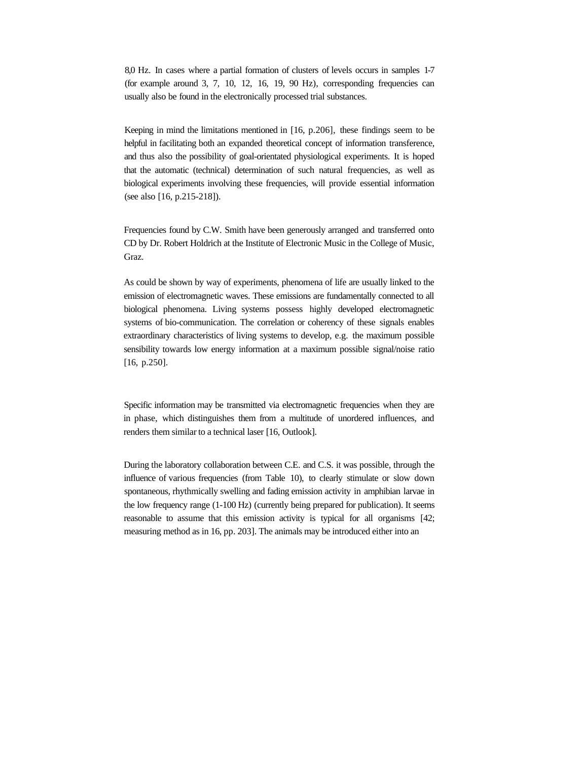8,0 Hz. In cases where a partial formation of clusters of levels occurs in samples 1-7 (for example around 3, 7, 10, 12, 16, 19, 90 Hz), corresponding frequencies can usually also be found in the electronically processed trial substances.

Keeping in mind the limitations mentioned in [16, p.206], these findings seem to be helpful in facilitating both an expanded theoretical concept of information transference, and thus also the possibility of goal-orientated physiological experiments. It is hoped that the automatic (technical) determination of such natural frequencies, as well as biological experiments involving these frequencies, will provide essential information (see also [16, p.215-218]).

Frequencies found by C.W. Smith have been generously arranged and transferred onto CD by Dr. Robert Holdrich at the Institute of Electronic Music in the College of Music, Graz.

As could be shown by way of experiments, phenomena of life are usually linked to the emission of electromagnetic waves. These emissions are fundamentally connected to all biological phenomena. Living systems possess highly developed electromagnetic systems of bio-communication. The correlation or coherency of these signals enables extraordinary characteristics of living systems to develop, e.g. the maximum possible sensibility towards low energy information at a maximum possible signal/noise ratio [16, p.250].

Specific information may be transmitted via electromagnetic frequencies when they are in phase, which distinguishes them from a multitude of unordered influences, and renders them similar to a technical laser [16, Outlook].

During the laboratory collaboration between C.E. and C.S. it was possible, through the influence of various frequencies (from Table 10), to clearly stimulate or slow down spontaneous, rhythmically swelling and fading emission activity in amphibian larvae in the low frequency range (1-100 Hz) (currently being prepared for publication). It seems reasonable to assume that this emission activity is typical for all organisms [42; measuring method as in 16, pp. 203]. The animals may be introduced either into an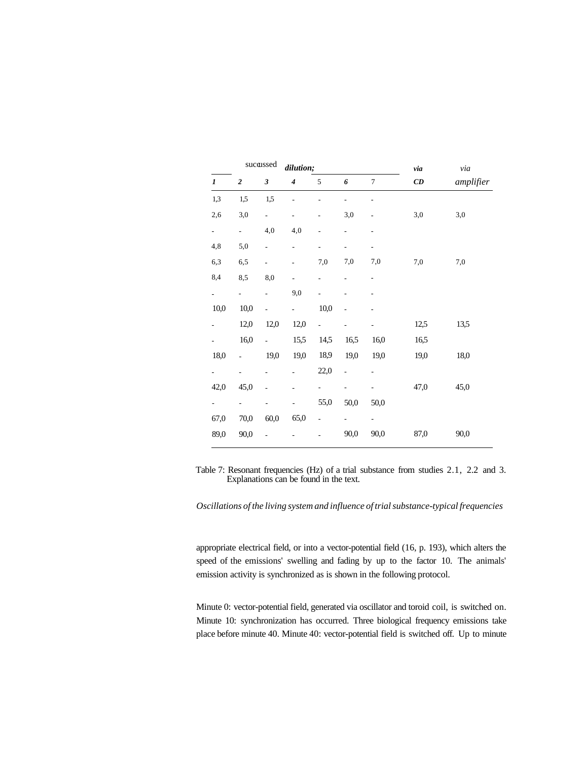|                          |                           | sucassed                    | dilution;                |                          |                          |                          | via                            | $via$     |
|--------------------------|---------------------------|-----------------------------|--------------------------|--------------------------|--------------------------|--------------------------|--------------------------------|-----------|
| 1                        | $\boldsymbol{2}$          | $\boldsymbol{\mathfrak{z}}$ | $\boldsymbol{4}$         | $\sqrt{5}$               | 6                        | $\overline{7}$           | $\boldsymbol{C}\boldsymbol{D}$ | amplifier |
| 1,3                      | 1,5                       | 1,5                         |                          |                          | $\overline{a}$           | $\overline{a}$           |                                |           |
| 2,6                      | 3,0                       | $\overline{\phantom{a}}$    | $\overline{\phantom{0}}$ |                          | 3,0                      | $\overline{a}$           | 3,0                            | 3,0       |
| $\overline{\phantom{0}}$ | $\mathbb{Z}^{\mathbb{Z}}$ | 4,0                         | 4,0                      |                          | $\overline{\phantom{0}}$ | -                        |                                |           |
| 4,8                      | 5,0                       | $\overline{\phantom{0}}$    | L,                       | L,                       | $\overline{\phantom{0}}$ | $\overline{\phantom{0}}$ |                                |           |
| 6,3                      | 6,5                       | $\overline{a}$              | $\overline{a}$           | 7,0                      | 7,0                      | 7,0                      | 7,0                            | 7,0       |
| 8,4                      | 8,5                       | 8,0                         | $\overline{a}$           | L,                       |                          | $\overline{\phantom{0}}$ |                                |           |
| $\overline{\phantom{0}}$ | $\Box$                    | $\overline{a}$              | 9,0                      | L,                       | $\overline{\phantom{a}}$ |                          |                                |           |
| 10,0                     | 10,0                      |                             | $\overline{a}$           | 10,0                     | ä,                       |                          |                                |           |
|                          | 12,0                      | 12,0                        | 12,0                     | $\overline{a}$           |                          |                          | 12,5                           | 13,5      |
|                          | 16,0                      | $\overline{a}$              | 15,5                     | 14,5                     | 16,5                     | 16,0                     | 16,5                           |           |
| 18,0                     | $\overline{a}$            | 19,0                        | 19,0                     | 18,9                     | 19,0                     | 19,0                     | 19,0                           | 18,0      |
| $\overline{\phantom{0}}$ | $\overline{a}$            |                             |                          | 22,0                     | ÷,                       |                          |                                |           |
| 42,0                     | 45,0                      | $\overline{a}$              | $\overline{a}$           |                          |                          | $\overline{a}$           | 47,0                           | 45,0      |
| $\sim$                   | $\overline{a}$            |                             |                          | 55,0                     | 50,0                     | 50,0                     |                                |           |
| 67,0                     | 70,0                      | 60,0                        | 65,0                     | $\overline{\phantom{0}}$ | $\frac{1}{2}$            | $\overline{\phantom{0}}$ |                                |           |
| 89,0                     | 90,0                      |                             |                          |                          | 90,0                     | 90,0                     | 87,0                           | 90,0      |

Table 7: Resonant frequencies (Hz) of a trial substance from studies 2.1, 2.2 and 3. Explanations can be found in the text.

*Oscillations of the living system and influence of trial substance-typical frequencies*

appropriate electrical field, or into a vector-potential field (16, p. 193), which alters the speed of the emissions' swelling and fading by up to the factor 10. The animals' emission activity is synchronized as is shown in the following protocol.

Minute 0: vector-potential field, generated via oscillator and toroid coil, is switched on. Minute 10: synchronization has occurred. Three biological frequency emissions take place before minute 40. Minute 40: vector-potential field is switched off. Up to minute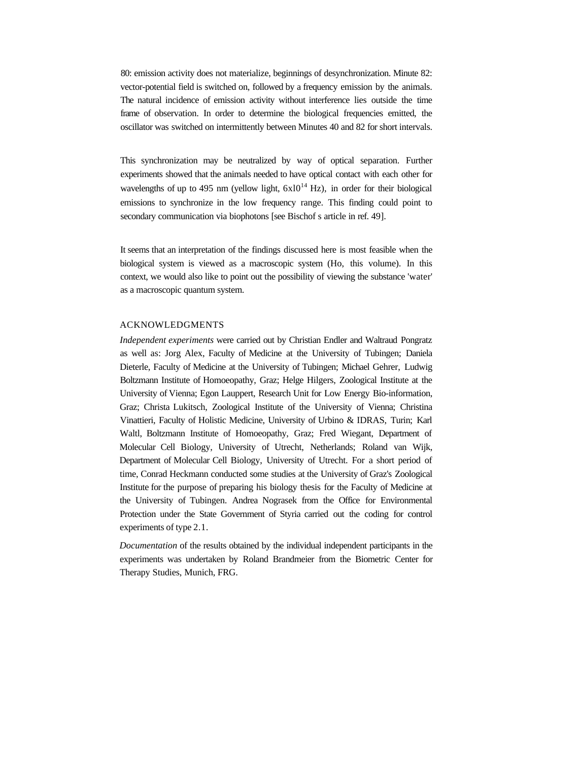80: emission activity does not materialize, beginnings of desynchronization. Minute 82: vector-potential field is switched on, followed by a frequency emission by the animals. The natural incidence of emission activity without interference lies outside the time frame of observation. In order to determine the biological frequencies emitted, the oscillator was switched on intermittently between Minutes 40 and 82 for short intervals.

This synchronization may be neutralized by way of optical separation. Further experiments showed that the animals needed to have optical contact with each other for wavelengths of up to 495 nm (yellow light,  $6x10^{14}$  Hz), in order for their biological emissions to synchronize in the low frequency range. This finding could point to secondary communication via biophotons [see Bischof s article in ref. 49].

It seems that an interpretation of the findings discussed here is most feasible when the biological system is viewed as a macroscopic system (Ho, this volume). In this context, we would also like to point out the possibility of viewing the substance 'water' as a macroscopic quantum system.

# ACKNOWLEDGMENTS

*Independent experiments* were carried out by Christian Endler and Waltraud Pongratz as well as: Jorg Alex, Faculty of Medicine at the University of Tubingen; Daniela Dieterle, Faculty of Medicine at the University of Tubingen; Michael Gehrer, Ludwig Boltzmann Institute of Homoeopathy, Graz; Helge Hilgers, Zoological Institute at the University of Vienna; Egon Lauppert, Research Unit for Low Energy Bio-information, Graz; Christa Lukitsch, Zoological Institute of the University of Vienna; Christina Vinattieri, Faculty of Holistic Medicine, University of Urbino & IDRAS, Turin; Karl Waltl, Boltzmann Institute of Homoeopathy, Graz; Fred Wiegant, Department of Molecular Cell Biology, University of Utrecht, Netherlands; Roland van Wijk, Department of Molecular Cell Biology, University of Utrecht. For a short period of time, Conrad Heckmann conducted some studies at the University of Graz's Zoological Institute for the purpose of preparing his biology thesis for the Faculty of Medicine at the University of Tubingen. Andrea Nograsek from the Office for Environmental Protection under the State Government of Styria carried out the coding for control experiments of type 2.1.

*Documentation* of the results obtained by the individual independent participants in the experiments was undertaken by Roland Brandmeier from the Biometric Center for Therapy Studies, Munich, FRG.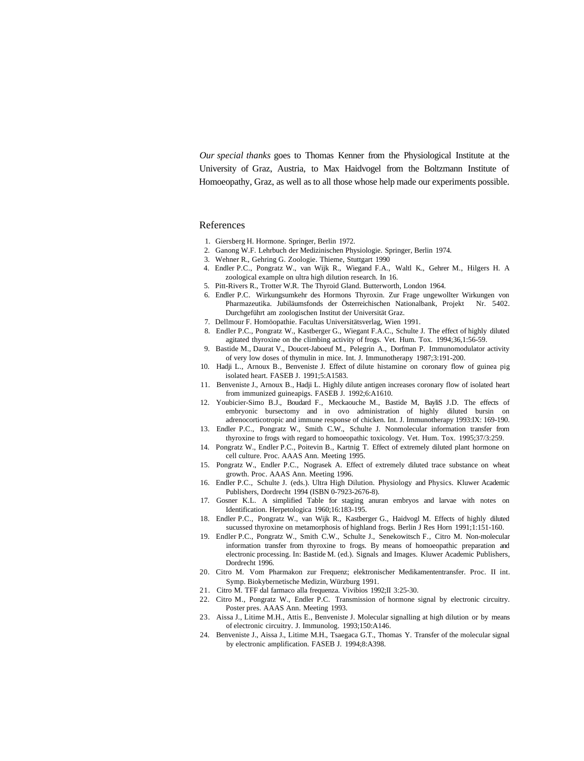*Our special thanks* goes to Thomas Kenner from the Physiological Institute at the University of Graz, Austria, to Max Haidvogel from the Boltzmann Institute of Homoeopathy, Graz, as well as to all those whose help made our experiments possible.

#### References

- 1. Giersberg H. Hormone. Springer, Berlin 1972.
- 2. Ganong W.F. Lehrbuch der Medizinischen Physiologie. Springer, Berlin 1974.
- 3. Wehner R., Gehring G. Zoologie. Thieme, Stuttgart 1990
- 4. Endler P.C., Pongratz W., van Wijk R., Wiegand F.A., Waltl K., Gehrer M., Hilgers H. A zoological example on ultra high dilution research. In 16.
- 5. Pitt-Rivers R., Trotter W.R. The Thyroid Gland. Butterworth, London 1964.
- 6. Endler P.C. Wirkungsumkehr des Hormons Thyroxin. Zur Frage ungewollter Wirkungen von Pharmazeutika. Jubiläumsfonds der Österreichischen Nationalbank, Projekt Nr. 5402. Durchgeführt am zoologischen Institut der Universität Graz.
- 7. Dellmour F. Homöopathie. Facultas Universitätsverlag, Wien 1991.
- 8. Endler P.C., Pongratz W., Kastberger G., Wiegant F.A.C., Schulte J. The effect of highly diluted agitated thyroxine on the climbing activity of frogs. Vet. Hum. Tox. 1994;36,1:56-59.
- 9. Bastide M., Daurat V., Doucet-Jaboeuf M., Pelegrin A., Dorfman P. Immunomodulator activity of very low doses of thymulin in mice. Int. J. Immunotherapy 1987;3:191-200.
- 10. Hadji L., Arnoux B., Benveniste J. Effect of dilute histamine on coronary flow of guinea pig isolated heart. FASEB J. 1991;5:A1583.
- 11. Benveniste J., Arnoux B., Hadji L. Highly dilute antigen increases coronary flow of isolated heart from immunized guineapigs. FASEB J. 1992;6:A1610.
- 12. Youbicier-Simo B.J., Boudard F., Meckaouche M., Bastide M, BayliS J.D. The effects of embryonic bursectomy and in ovo administration of highly diluted bursin on adrenocorticotropic and immune response of chicken. Int. J. Immunotherapy 1993:IX: 169-190.
- 13. Endler P.C., Pongratz W., Smith C.W., Schulte J. Nonmolecular information transfer from thyroxine to frogs with regard to homoeopathic toxicology. Vet. Hum. Tox. 1995;37/3:259.
- 14. Pongratz W., Endler P.C., Poitevin B., Kartnig T. Effect of extremely diluted plant hormone on cell culture. Proc. AAAS Ann. Meeting 1995.
- 15. Pongratz W., Endler P.C., Nograsek A. Effect of extremely diluted trace substance on wheat growth. Proc. AAAS Ann. Meeting 1996.
- 16. Endler P.C., Schulte J. (eds.). Ultra High Dilution. Physiology and Physics. Kluwer Academic Publishers, Dordrecht 1994 (ISBN 0-7923-2676-8).
- 17. Gosner K.L. A simplified Table for staging anuran embryos and larvae with notes on Identification. Herpetologica 1960;16:183-195.
- 18. Endler P.C., Pongratz W., van Wijk R., Kastberger G., Haidvogl M. Effects of highly diluted sucussed thyroxine on metamorphosis of highland frogs. Berlin J Res Horn 1991;1:151-160.
- 19. Endler P.C., Pongratz W., Smith C.W., Schulte J., Senekowitsch F., Citro M. Non-molecular information transfer from thyroxine to frogs. By means of homoeopathic preparation and electronic processing. In: Bastide M. (ed.). Signals and Images. Kluwer Academic Publishers, Dordrecht 1996.
- 20. Citro M. Vom Pharmakon zur Frequenz; elektronischer Medikamententransfer. Proc. II int. Symp. Biokybernetische Medizin, Würzburg 1991.
- 21. Citro M. TFF dal farmaco alla frequenza. Vivibios 1992;II 3:25-30.
- 22. Citro M., Pongratz W., Endler P.C. Transmission of hormone signal by electronic circuitry. Poster pres. AAAS Ann. Meeting 1993.
- 23. Aissa J., Litime M.H., Attis E., Benveniste J. Molecular signalling at high dilution or by means of electronic circuitry. J. Immunolog. 1993;150:A146.
- 24. Benveniste J., Aissa J., Litime M.H., Tsaegaca G.T., Thomas Y. Transfer of the molecular signal by electronic amplification. FASEB J. 1994;8:A398.